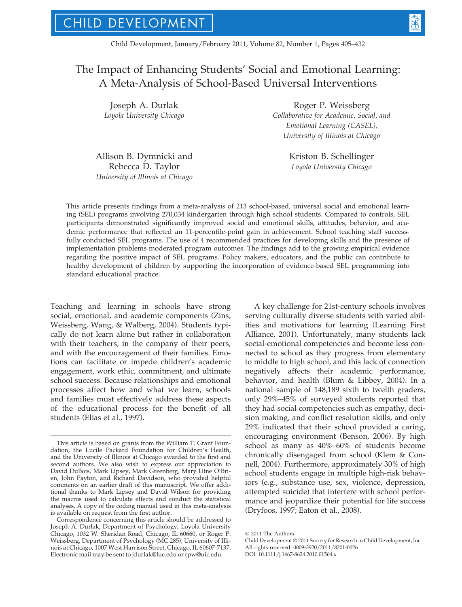# The Impact of Enhancing Students' Social and Emotional Learning: A Meta-Analysis of School-Based Universal Interventions

Joseph A. Durlak Loyola University Chicago

Roger P. Weissberg Collaborative for Academic, Social, and Emotional Learning (CASEL), University of Illinois at Chicago

Allison B. Dymnicki and Rebecca D. Taylor University of Illinois at Chicago Kriston B. Schellinger Loyola University Chicago

This article presents findings from a meta-analysis of 213 school-based, universal social and emotional learning (SEL) programs involving 270,034 kindergarten through high school students. Compared to controls, SEL participants demonstrated significantly improved social and emotional skills, attitudes, behavior, and academic performance that reflected an 11-percentile-point gain in achievement. School teaching staff successfully conducted SEL programs. The use of 4 recommended practices for developing skills and the presence of implementation problems moderated program outcomes. The findings add to the growing empirical evidence regarding the positive impact of SEL programs. Policy makers, educators, and the public can contribute to healthy development of children by supporting the incorporation of evidence-based SEL programming into standard educational practice.

Teaching and learning in schools have strong social, emotional, and academic components (Zins, Weissberg, Wang, & Walberg, 2004). Students typically do not learn alone but rather in collaboration with their teachers, in the company of their peers, and with the encouragement of their families. Emotions can facilitate or impede children's academic engagement, work ethic, commitment, and ultimate school success. Because relationships and emotional processes affect how and what we learn, schools and families must effectively address these aspects of the educational process for the benefit of all students (Elias et al., 1997).

A key challenge for 21st-century schools involves serving culturally diverse students with varied abilities and motivations for learning (Learning First Alliance, 2001). Unfortunately, many students lack social-emotional competencies and become less connected to school as they progress from elementary to middle to high school, and this lack of connection negatively affects their academic performance, behavior, and health (Blum & Libbey, 2004). In a national sample of 148,189 sixth to twelth graders, only 29%–45% of surveyed students reported that they had social competencies such as empathy, decision making, and conflict resolution skills, and only 29% indicated that their school provided a caring, encouraging environment (Benson, 2006). By high school as many as 40%–60% of students become chronically disengaged from school (Klem & Connell, 2004). Furthermore, approximately 30% of high school students engage in multiple high-risk behaviors (e.g., substance use, sex, violence, depression, attempted suicide) that interfere with school performance and jeopardize their potential for life success (Dryfoos, 1997; Eaton et al., 2008).

This article is based on grants from the William T. Grant Foundation, the Lucile Packard Foundation for Children's Health, and the University of Illinois at Chicago awarded to the first and second authors. We also wish to express our appreciation to David DuBois, Mark Lipsey, Mark Greenberg, Mary Utne O'Brien, John Payton, and Richard Davidson, who provided helpful comments on an earlier draft of this manuscript. We offer additional thanks to Mark Lipsey and David Wilson for providing the macros used to calculate effects and conduct the statistical analyses. A copy of the coding manual used in this meta-analysis is available on request from the first author.

Correspondence concerning this article should be addressed to Joseph A. Durlak, Department of Psychology, Loyola University Chicago, 1032 W. Sheridan Road, Chicago, IL 60660, or Roger P. Weissberg, Department of Psychology (MC 285), University of Illinois at Chicago, 1007 West Harrison Street, Chicago, IL 60607-7137. Electronic mail may be sent to jdurlak@luc.edu or rpw@uic.edu.

<sup>© 2011</sup> The Authors

Child Development © 2011 Society for Research in Child Development, Inc. All rights reserved. 0009-3920/2011/8201-0026 DOI: 10.1111/j.1467-8624.2010.01564.x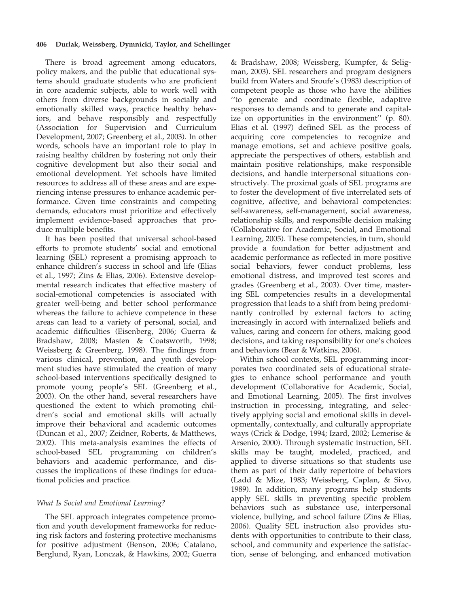There is broad agreement among educators, policy makers, and the public that educational systems should graduate students who are proficient in core academic subjects, able to work well with others from diverse backgrounds in socially and emotionally skilled ways, practice healthy behaviors, and behave responsibly and respectfully (Association for Supervision and Curriculum Development, 2007; Greenberg et al., 2003). In other words, schools have an important role to play in raising healthy children by fostering not only their cognitive development but also their social and emotional development. Yet schools have limited resources to address all of these areas and are experiencing intense pressures to enhance academic performance. Given time constraints and competing demands, educators must prioritize and effectively implement evidence-based approaches that produce multiple benefits.

It has been posited that universal school-based efforts to promote students' social and emotional learning (SEL) represent a promising approach to enhance children's success in school and life (Elias et al., 1997; Zins & Elias, 2006). Extensive developmental research indicates that effective mastery of social-emotional competencies is associated with greater well-being and better school performance whereas the failure to achieve competence in these areas can lead to a variety of personal, social, and academic difficulties (Eisenberg, 2006; Guerra & Bradshaw, 2008; Masten & Coatsworth, 1998; Weissberg & Greenberg, 1998). The findings from various clinical, prevention, and youth development studies have stimulated the creation of many school-based interventions specifically designed to promote young people's SEL (Greenberg et al., 2003). On the other hand, several researchers have questioned the extent to which promoting children's social and emotional skills will actually improve their behavioral and academic outcomes (Duncan et al., 2007; Zeidner, Roberts, & Matthews, 2002). This meta-analysis examines the effects of school-based SEL programming on children's behaviors and academic performance, and discusses the implications of these findings for educational policies and practice.

# What Is Social and Emotional Learning?

The SEL approach integrates competence promotion and youth development frameworks for reducing risk factors and fostering protective mechanisms for positive adjustment (Benson, 2006; Catalano, Berglund, Ryan, Lonczak, & Hawkins, 2002; Guerra

& Bradshaw, 2008; Weissberg, Kumpfer, & Seligman, 2003). SEL researchers and program designers build from Waters and Sroufe's (1983) description of competent people as those who have the abilities ''to generate and coordinate flexible, adaptive responses to demands and to generate and capitalize on opportunities in the environment'' (p. 80). Elias et al. (1997) defined SEL as the process of acquiring core competencies to recognize and manage emotions, set and achieve positive goals, appreciate the perspectives of others, establish and maintain positive relationships, make responsible decisions, and handle interpersonal situations constructively. The proximal goals of SEL programs are to foster the development of five interrelated sets of cognitive, affective, and behavioral competencies: self-awareness, self-management, social awareness, relationship skills, and responsible decision making (Collaborative for Academic, Social, and Emotional Learning, 2005). These competencies, in turn, should provide a foundation for better adjustment and academic performance as reflected in more positive social behaviors, fewer conduct problems, less emotional distress, and improved test scores and grades (Greenberg et al., 2003). Over time, mastering SEL competencies results in a developmental progression that leads to a shift from being predominantly controlled by external factors to acting increasingly in accord with internalized beliefs and values, caring and concern for others, making good decisions, and taking responsibility for one's choices and behaviors (Bear & Watkins, 2006).

Within school contexts, SEL programming incorporates two coordinated sets of educational strategies to enhance school performance and youth development (Collaborative for Academic, Social, and Emotional Learning, 2005). The first involves instruction in processing, integrating, and selectively applying social and emotional skills in developmentally, contextually, and culturally appropriate ways (Crick & Dodge, 1994; Izard, 2002; Lemerise & Arsenio, 2000). Through systematic instruction, SEL skills may be taught, modeled, practiced, and applied to diverse situations so that students use them as part of their daily repertoire of behaviors (Ladd & Mize, 1983; Weissberg, Caplan, & Sivo, 1989). In addition, many programs help students apply SEL skills in preventing specific problem behaviors such as substance use, interpersonal violence, bullying, and school failure (Zins & Elias, 2006). Quality SEL instruction also provides students with opportunities to contribute to their class, school, and community and experience the satisfaction, sense of belonging, and enhanced motivation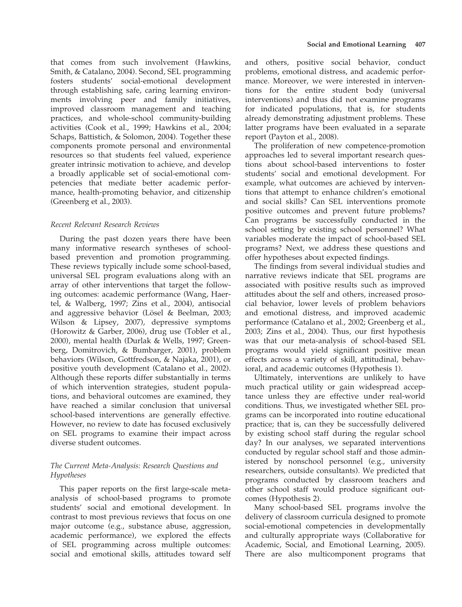that comes from such involvement (Hawkins, Smith, & Catalano, 2004). Second, SEL programming fosters students' social-emotional development through establishing safe, caring learning environments involving peer and family initiatives, improved classroom management and teaching practices, and whole-school community-building activities (Cook et al., 1999; Hawkins et al., 2004; Schaps, Battistich, & Solomon, 2004). Together these components promote personal and environmental resources so that students feel valued, experience greater intrinsic motivation to achieve, and develop a broadly applicable set of social-emotional competencies that mediate better academic performance, health-promoting behavior, and citizenship (Greenberg et al., 2003).

# Recent Relevant Research Reviews

During the past dozen years there have been many informative research syntheses of schoolbased prevention and promotion programming. These reviews typically include some school-based, universal SEL program evaluations along with an array of other interventions that target the following outcomes: academic performance (Wang, Haertel, & Walberg, 1997; Zins et al., 2004), antisocial and aggressive behavior (Lösel & Beelman, 2003; Wilson & Lipsey, 2007), depressive symptoms (Horowitz & Garber, 2006), drug use (Tobler et al., 2000), mental health (Durlak & Wells, 1997; Greenberg, Domitrovich, & Bumbarger, 2001), problem behaviors (Wilson, Gottfredson, & Najaka, 2001), or positive youth development (Catalano et al., 2002). Although these reports differ substantially in terms of which intervention strategies, student populations, and behavioral outcomes are examined, they have reached a similar conclusion that universal school-based interventions are generally effective. However, no review to date has focused exclusively on SEL programs to examine their impact across diverse student outcomes.

# The Current Meta-Analysis: Research Questions and Hypotheses

This paper reports on the first large-scale metaanalysis of school-based programs to promote students' social and emotional development. In contrast to most previous reviews that focus on one major outcome (e.g., substance abuse, aggression, academic performance), we explored the effects of SEL programming across multiple outcomes: social and emotional skills, attitudes toward self and others, positive social behavior, conduct problems, emotional distress, and academic performance. Moreover, we were interested in interventions for the entire student body (universal interventions) and thus did not examine programs for indicated populations, that is, for students already demonstrating adjustment problems. These latter programs have been evaluated in a separate report (Payton et al., 2008).

The proliferation of new competence-promotion approaches led to several important research questions about school-based interventions to foster students' social and emotional development. For example, what outcomes are achieved by interventions that attempt to enhance children's emotional and social skills? Can SEL interventions promote positive outcomes and prevent future problems? Can programs be successfully conducted in the school setting by existing school personnel? What variables moderate the impact of school-based SEL programs? Next, we address these questions and offer hypotheses about expected findings.

The findings from several individual studies and narrative reviews indicate that SEL programs are associated with positive results such as improved attitudes about the self and others, increased prosocial behavior, lower levels of problem behaviors and emotional distress, and improved academic performance (Catalano et al., 2002; Greenberg et al., 2003; Zins et al., 2004). Thus, our first hypothesis was that our meta-analysis of school-based SEL programs would yield significant positive mean effects across a variety of skill, attitudinal, behavioral, and academic outcomes (Hypothesis 1).

Ultimately, interventions are unlikely to have much practical utility or gain widespread acceptance unless they are effective under real-world conditions. Thus, we investigated whether SEL programs can be incorporated into routine educational practice; that is, can they be successfully delivered by existing school staff during the regular school day? In our analyses, we separated interventions conducted by regular school staff and those administered by nonschool personnel (e.g., university researchers, outside consultants). We predicted that programs conducted by classroom teachers and other school staff would produce significant outcomes (Hypothesis 2).

Many school-based SEL programs involve the delivery of classroom curricula designed to promote social-emotional competencies in developmentally and culturally appropriate ways (Collaborative for Academic, Social, and Emotional Learning, 2005). There are also multicomponent programs that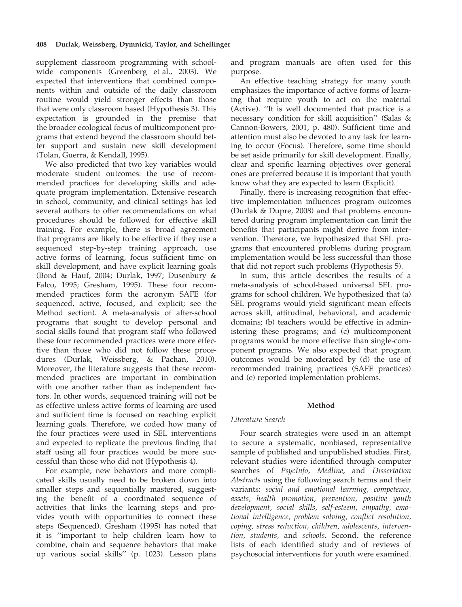supplement classroom programming with schoolwide components (Greenberg et al., 2003). We expected that interventions that combined components within and outside of the daily classroom routine would yield stronger effects than those that were only classroom based (Hypothesis 3). This expectation is grounded in the premise that the broader ecological focus of multicomponent programs that extend beyond the classroom should better support and sustain new skill development (Tolan, Guerra, & Kendall, 1995).

We also predicted that two key variables would moderate student outcomes: the use of recommended practices for developing skills and adequate program implementation. Extensive research in school, community, and clinical settings has led several authors to offer recommendations on what procedures should be followed for effective skill training. For example, there is broad agreement that programs are likely to be effective if they use a sequenced step-by-step training approach, use active forms of learning, focus sufficient time on skill development, and have explicit learning goals (Bond & Hauf, 2004; Durlak, 1997; Dusenbury & Falco, 1995; Gresham, 1995). These four recommended practices form the acronym SAFE (for sequenced, active, focused, and explicit; see the Method section). A meta-analysis of after-school programs that sought to develop personal and social skills found that program staff who followed these four recommended practices were more effective than those who did not follow these procedures (Durlak, Weissberg, & Pachan, 2010). Moreover, the literature suggests that these recommended practices are important in combination with one another rather than as independent factors. In other words, sequenced training will not be as effective unless active forms of learning are used and sufficient time is focused on reaching explicit learning goals. Therefore, we coded how many of the four practices were used in SEL interventions and expected to replicate the previous finding that staff using all four practices would be more successful than those who did not (Hypothesis 4).

For example, new behaviors and more complicated skills usually need to be broken down into smaller steps and sequentially mastered, suggesting the benefit of a coordinated sequence of activities that links the learning steps and provides youth with opportunities to connect these steps (Sequenced). Gresham (1995) has noted that it is ''important to help children learn how to combine, chain and sequence behaviors that make up various social skills'' (p. 1023). Lesson plans and program manuals are often used for this purpose.

An effective teaching strategy for many youth emphasizes the importance of active forms of learning that require youth to act on the material (Active). ''It is well documented that practice is a necessary condition for skill acquisition'' (Salas & Cannon-Bowers, 2001, p. 480). Sufficient time and attention must also be devoted to any task for learning to occur (Focus). Therefore, some time should be set aside primarily for skill development. Finally, clear and specific learning objectives over general ones are preferred because it is important that youth know what they are expected to learn (Explicit).

Finally, there is increasing recognition that effective implementation influences program outcomes (Durlak & Dupre, 2008) and that problems encountered during program implementation can limit the benefits that participants might derive from intervention. Therefore, we hypothesized that SEL programs that encountered problems during program implementation would be less successful than those that did not report such problems (Hypothesis 5).

In sum, this article describes the results of a meta-analysis of school-based universal SEL programs for school children. We hypothesized that (a) SEL programs would yield significant mean effects across skill, attitudinal, behavioral, and academic domains; (b) teachers would be effective in administering these programs; and (c) multicomponent programs would be more effective than single-component programs. We also expected that program outcomes would be moderated by (d) the use of recommended training practices (SAFE practices) and (e) reported implementation problems.

### Method

## Literature Search

Four search strategies were used in an attempt to secure a systematic, nonbiased, representative sample of published and unpublished studies. First, relevant studies were identified through computer searches of PsycInfo, Medline, and Dissertation Abstracts using the following search terms and their variants: social and emotional learning, competence, assets, health promotion, prevention, positive youth development, social skills, self-esteem, empathy, emotional intelligence, problem solving, conflict resolution, coping, stress reduction, children, adolescents, intervention, students, and schools. Second, the reference lists of each identified study and of reviews of psychosocial interventions for youth were examined.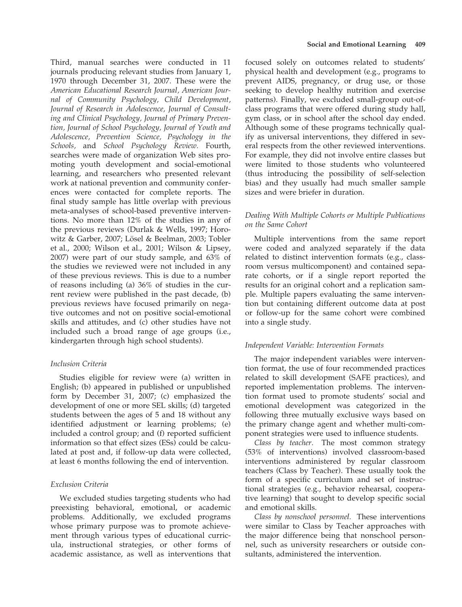Third, manual searches were conducted in 11 journals producing relevant studies from January 1, 1970 through December 31, 2007. These were the American Educational Research Journal, American Journal of Community Psychology, Child Development, Journal of Research in Adolescence, Journal of Consulting and Clinical Psychology, Journal of Primary Prevention, Journal of School Psychology, Journal of Youth and Adolescence, Prevention Science, Psychology in the Schools, and School Psychology Review. Fourth, searches were made of organization Web sites promoting youth development and social-emotional learning, and researchers who presented relevant work at national prevention and community conferences were contacted for complete reports. The final study sample has little overlap with previous meta-analyses of school-based preventive interventions. No more than 12% of the studies in any of the previous reviews (Durlak & Wells, 1997; Horowitz & Garber, 2007; Lösel & Beelman, 2003; Tobler et al., 2000; Wilson et al., 2001; Wilson & Lipsey, 2007) were part of our study sample, and 63% of the studies we reviewed were not included in any of these previous reviews. This is due to a number of reasons including (a) 36% of studies in the current review were published in the past decade, (b) previous reviews have focused primarily on negative outcomes and not on positive social-emotional skills and attitudes, and (c) other studies have not included such a broad range of age groups (i.e., kindergarten through high school students).

# Inclusion Criteria

Studies eligible for review were (a) written in English; (b) appeared in published or unpublished form by December 31, 2007; (c) emphasized the development of one or more SEL skills; (d) targeted students between the ages of 5 and 18 without any identified adjustment or learning problems; (e) included a control group; and (f) reported sufficient information so that effect sizes (ESs) could be calculated at post and, if follow-up data were collected, at least 6 months following the end of intervention.

# Exclusion Criteria

We excluded studies targeting students who had preexisting behavioral, emotional, or academic problems. Additionally, we excluded programs whose primary purpose was to promote achievement through various types of educational curricula, instructional strategies, or other forms of academic assistance, as well as interventions that

focused solely on outcomes related to students' physical health and development (e.g., programs to prevent AIDS, pregnancy, or drug use, or those seeking to develop healthy nutrition and exercise patterns). Finally, we excluded small-group out-ofclass programs that were offered during study hall, gym class, or in school after the school day ended. Although some of these programs technically qualify as universal interventions, they differed in several respects from the other reviewed interventions. For example, they did not involve entire classes but were limited to those students who volunteered (thus introducing the possibility of self-selection bias) and they usually had much smaller sample sizes and were briefer in duration.

# Dealing With Multiple Cohorts or Multiple Publications on the Same Cohort

Multiple interventions from the same report were coded and analyzed separately if the data related to distinct intervention formats (e.g., classroom versus multicomponent) and contained separate cohorts, or if a single report reported the results for an original cohort and a replication sample. Multiple papers evaluating the same intervention but containing different outcome data at post or follow-up for the same cohort were combined into a single study.

# Independent Variable: Intervention Formats

The major independent variables were intervention format, the use of four recommended practices related to skill development (SAFE practices), and reported implementation problems. The intervention format used to promote students' social and emotional development was categorized in the following three mutually exclusive ways based on the primary change agent and whether multi-component strategies were used to influence students.

Class by teacher. The most common strategy (53% of interventions) involved classroom-based interventions administered by regular classroom teachers (Class by Teacher). These usually took the form of a specific curriculum and set of instructional strategies (e.g., behavior rehearsal, cooperative learning) that sought to develop specific social and emotional skills.

Class by nonschool personnel. These interventions were similar to Class by Teacher approaches with the major difference being that nonschool personnel, such as university researchers or outside consultants, administered the intervention.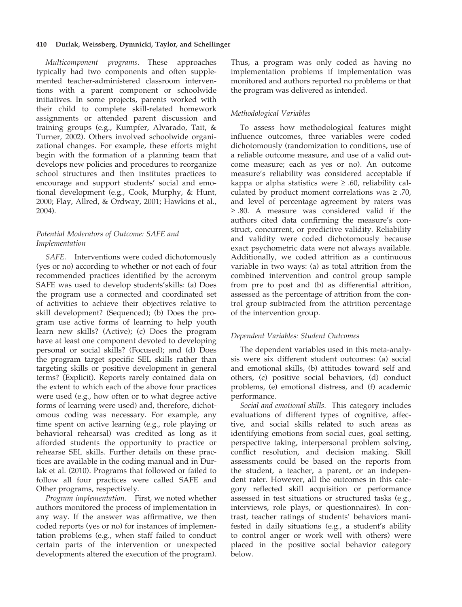Multicomponent programs. These approaches typically had two components and often supplemented teacher-administered classroom interventions with a parent component or schoolwide initiatives. In some projects, parents worked with their child to complete skill-related homework assignments or attended parent discussion and training groups (e.g., Kumpfer, Alvarado, Tait, & Turner, 2002). Others involved schoolwide organizational changes. For example, these efforts might begin with the formation of a planning team that develops new policies and procedures to reorganize school structures and then institutes practices to encourage and support students' social and emotional development (e.g., Cook, Murphy, & Hunt, 2000; Flay, Allred, & Ordway, 2001; Hawkins et al., 2004).

# Potential Moderators of Outcome: SAFE and Implementation

SAFE. Interventions were coded dichotomously (yes or no) according to whether or not each of four recommended practices identified by the acronym SAFE was used to develop students'skills: (a) Does the program use a connected and coordinated set of activities to achieve their objectives relative to skill development? (Sequenced); (b) Does the program use active forms of learning to help youth learn new skills? (Active); (c) Does the program have at least one component devoted to developing personal or social skills? (Focused); and (d) Does the program target specific SEL skills rather than targeting skills or positive development in general terms? (Explicit). Reports rarely contained data on the extent to which each of the above four practices were used (e.g., how often or to what degree active forms of learning were used) and, therefore, dichotomous coding was necessary. For example, any time spent on active learning (e.g., role playing or behavioral rehearsal) was credited as long as it afforded students the opportunity to practice or rehearse SEL skills. Further details on these practices are available in the coding manual and in Durlak et al. (2010). Programs that followed or failed to follow all four practices were called SAFE and Other programs, respectively.

Program implementation. First, we noted whether authors monitored the process of implementation in any way. If the answer was affirmative, we then coded reports (yes or no) for instances of implementation problems (e.g., when staff failed to conduct certain parts of the intervention or unexpected developments altered the execution of the program). Thus, a program was only coded as having no implementation problems if implementation was monitored and authors reported no problems or that the program was delivered as intended.

# Methodological Variables

To assess how methodological features might influence outcomes, three variables were coded dichotomously (randomization to conditions, use of a reliable outcome measure, and use of a valid outcome measure; each as yes or no). An outcome measure's reliability was considered acceptable if kappa or alpha statistics were  $\geq .60$ , reliability calculated by product moment correlations was  $\geq$  .70, and level of percentage agreement by raters was  $\geq$  .80. A measure was considered valid if the authors cited data confirming the measure's construct, concurrent, or predictive validity. Reliability and validity were coded dichotomously because exact psychometric data were not always available. Additionally, we coded attrition as a continuous variable in two ways: (a) as total attrition from the combined intervention and control group sample from pre to post and (b) as differential attrition, assessed as the percentage of attrition from the control group subtracted from the attrition percentage of the intervention group.

# Dependent Variables: Student Outcomes

The dependent variables used in this meta-analysis were six different student outcomes: (a) social and emotional skills, (b) attitudes toward self and others, (c) positive social behaviors, (d) conduct problems, (e) emotional distress, and (f) academic performance.

Social and emotional skills. This category includes evaluations of different types of cognitive, affective, and social skills related to such areas as identifying emotions from social cues, goal setting, perspective taking, interpersonal problem solving, conflict resolution, and decision making. Skill assessments could be based on the reports from the student, a teacher, a parent, or an independent rater. However, all the outcomes in this category reflected skill acquisition or performance assessed in test situations or structured tasks (e.g., interviews, role plays, or questionnaires). In contrast, teacher ratings of students' behaviors manifested in daily situations (e.g., a student's ability to control anger or work well with others) were placed in the positive social behavior category below.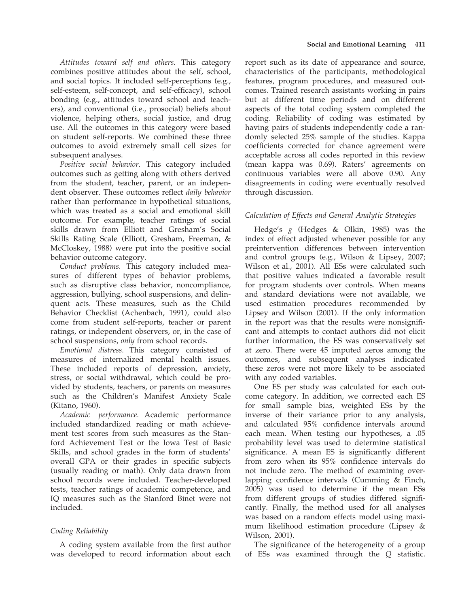Attitudes toward self and others. This category combines positive attitudes about the self, school, and social topics. It included self-perceptions (e.g., self-esteem, self-concept, and self-efficacy), school bonding (e.g., attitudes toward school and teachers), and conventional (i.e., prosocial) beliefs about violence, helping others, social justice, and drug use. All the outcomes in this category were based on student self-reports. We combined these three outcomes to avoid extremely small cell sizes for subsequent analyses.

Positive social behavior. This category included outcomes such as getting along with others derived from the student, teacher, parent, or an independent observer. These outcomes reflect daily behavior rather than performance in hypothetical situations, which was treated as a social and emotional skill outcome. For example, teacher ratings of social skills drawn from Elliott and Gresham's Social Skills Rating Scale (Elliott, Gresham, Freeman, & McCloskey, 1988) were put into the positive social behavior outcome category.

Conduct problems. This category included measures of different types of behavior problems, such as disruptive class behavior, noncompliance, aggression, bullying, school suspensions, and delinquent acts. These measures, such as the Child Behavior Checklist (Achenbach, 1991), could also come from student self-reports, teacher or parent ratings, or independent observers, or, in the case of school suspensions, only from school records.

Emotional distress. This category consisted of measures of internalized mental health issues. These included reports of depression, anxiety, stress, or social withdrawal, which could be provided by students, teachers, or parents on measures such as the Children's Manifest Anxiety Scale (Kitano, 1960).

Academic performance. Academic performance included standardized reading or math achievement test scores from such measures as the Stanford Achievement Test or the Iowa Test of Basic Skills, and school grades in the form of students' overall GPA or their grades in specific subjects (usually reading or math). Only data drawn from school records were included. Teacher-developed tests, teacher ratings of academic competence, and IQ measures such as the Stanford Binet were not included.

# Coding Reliability

A coding system available from the first author was developed to record information about each report such as its date of appearance and source, characteristics of the participants, methodological features, program procedures, and measured outcomes. Trained research assistants working in pairs but at different time periods and on different aspects of the total coding system completed the coding. Reliability of coding was estimated by having pairs of students independently code a randomly selected 25% sample of the studies. Kappa coefficients corrected for chance agreement were acceptable across all codes reported in this review (mean kappa was 0.69). Raters' agreements on continuous variables were all above 0.90. Any disagreements in coding were eventually resolved through discussion.

# Calculation of Effects and General Analytic Strategies

Hedge's g (Hedges & Olkin, 1985) was the index of effect adjusted whenever possible for any preintervention differences between intervention and control groups (e.g., Wilson & Lipsey, 2007; Wilson et al., 2001). All ESs were calculated such that positive values indicated a favorable result for program students over controls. When means and standard deviations were not available, we used estimation procedures recommended by Lipsey and Wilson (2001). If the only information in the report was that the results were nonsignificant and attempts to contact authors did not elicit further information, the ES was conservatively set at zero. There were 45 imputed zeros among the outcomes, and subsequent analyses indicated these zeros were not more likely to be associated with any coded variables.

One ES per study was calculated for each outcome category. In addition, we corrected each ES for small sample bias, weighted ESs by the inverse of their variance prior to any analysis, and calculated 95% confidence intervals around each mean. When testing our hypotheses, a .05 probability level was used to determine statistical significance. A mean ES is significantly different from zero when its 95% confidence intervals do not include zero. The method of examining overlapping confidence intervals (Cumming & Finch, 2005) was used to determine if the mean ESs from different groups of studies differed significantly. Finally, the method used for all analyses was based on a random effects model using maximum likelihood estimation procedure (Lipsey & Wilson, 2001).

The significance of the heterogeneity of a group of ESs was examined through the Q statistic.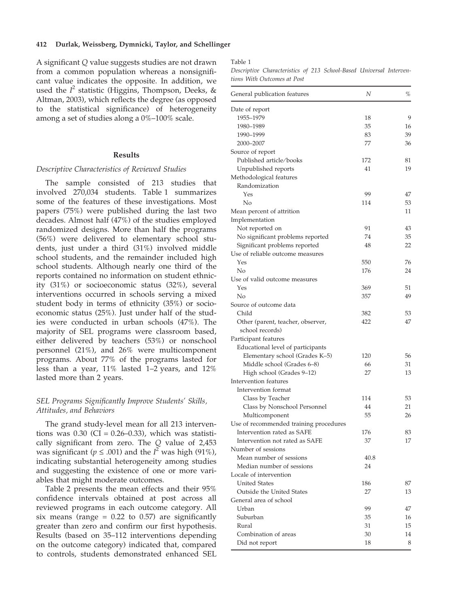A significant Q value suggests studies are not drawn from a common population whereas a nonsignificant value indicates the opposite. In addition, we used the  $I^2$  statistic (Higgins, Thompson, Deeks, & Altman, 2003), which reflects the degree (as opposed to the statistical significance) of heterogeneity among a set of studies along a 0%–100% scale.

#### Results

## Descriptive Characteristics of Reviewed Studies

The sample consisted of 213 studies that involved 270,034 students. Table 1 summarizes some of the features of these investigations. Most papers (75%) were published during the last two decades. Almost half (47%) of the studies employed randomized designs. More than half the programs (56%) were delivered to elementary school students, just under a third (31%) involved middle school students, and the remainder included high school students. Although nearly one third of the reports contained no information on student ethnicity (31%) or socioeconomic status (32%), several interventions occurred in schools serving a mixed student body in terms of ethnicity (35%) or socioeconomic status (25%). Just under half of the studies were conducted in urban schools (47%). The majority of SEL programs were classroom based, either delivered by teachers (53%) or nonschool personnel (21%), and 26% were multicomponent programs. About 77% of the programs lasted for less than a year, 11% lasted 1–2 years, and 12% lasted more than 2 years.

# SEL Programs Significantly Improve Students' Skills, Attitudes, and Behaviors

The grand study-level mean for all 213 interventions was  $0.30$  (CI =  $0.26-0.33$ ), which was statistically significant from zero. The Q value of 2,453 was significant ( $p \leq .001$ ) and the  $I^2$  was high (91%), indicating substantial heterogeneity among studies and suggesting the existence of one or more variables that might moderate outcomes.

Table 2 presents the mean effects and their 95% confidence intervals obtained at post across all reviewed programs in each outcome category. All six means (range =  $0.22$  to  $0.57$ ) are significantly greater than zero and confirm our first hypothesis. Results (based on 35–112 interventions depending on the outcome category) indicated that, compared to controls, students demonstrated enhanced SEL

Table 1

Descriptive Characteristics of 213 School-Based Universal Interventions With Outcomes at Post

| General publication features                         | Ν    | %  |
|------------------------------------------------------|------|----|
| Date of report                                       |      |    |
| 1955-1979                                            | 18   | 9  |
| 1980-1989                                            | 35   | 16 |
| 1990-1999                                            | 83   | 39 |
| 2000-2007                                            | 77   | 36 |
| Source of report                                     |      |    |
| Published article/books                              | 172  | 81 |
| Unpublished reports                                  | 41   | 19 |
| Methodological features                              |      |    |
| Randomization                                        |      |    |
| Yes                                                  | 99   | 47 |
| No                                                   | 114  | 53 |
| Mean percent of attrition                            |      | 11 |
| Implementation                                       |      |    |
| Not reported on                                      | 91   | 43 |
| No significant problems reported                     | 74   | 35 |
| Significant problems reported                        | 48   | 22 |
| Use of reliable outcome measures                     |      |    |
| Yes                                                  | 550  | 76 |
| No                                                   | 176  | 24 |
| Use of valid outcome measures                        |      |    |
| Yes                                                  | 369  | 51 |
| No                                                   | 357  | 49 |
| Source of outcome data                               |      |    |
| Child                                                | 382  | 53 |
| Other (parent, teacher, observer,<br>school records) | 422  | 47 |
| Participant features                                 |      |    |
| Educational level of participants                    |      |    |
| Elementary school (Grades K-5)                       | 120  | 56 |
| Middle school (Grades 6-8)                           | 66   | 31 |
| High school (Grades 9-12)                            | 27   | 13 |
| Intervention features                                |      |    |
| Intervention format                                  |      |    |
| Class by Teacher                                     | 114  | 53 |
| Class by Nonschool Personnel                         | 44   | 21 |
| Multicomponent                                       | 55   | 26 |
| Use of recommended training procedures               |      |    |
| Intervention rated as SAFE                           | 176  | 83 |
| Intervention not rated as SAFE                       | 37   | 17 |
| Number of sessions                                   |      |    |
| Mean number of sessions                              | 40.8 |    |
| Median number of sessions                            | 24   |    |
| Locale of intervention                               |      |    |
| <b>United States</b>                                 | 186  | 87 |
| Outside the United States                            | 27   | 13 |
| General area of school                               |      |    |
| Urban                                                | 99   | 47 |
| Suburban                                             | 35   | 16 |
| Rural                                                | 31   | 15 |
| Combination of areas                                 | 30   | 14 |
| Did not report                                       | 18   | 8  |
|                                                      |      |    |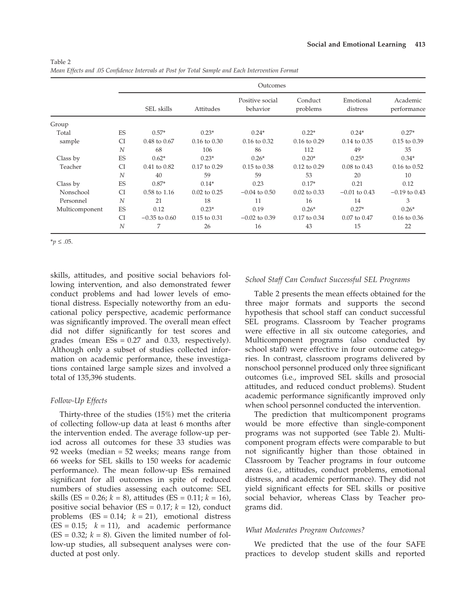|                |           | Outcomes          |                         |                             |                     |                       |                         |  |  |
|----------------|-----------|-------------------|-------------------------|-----------------------------|---------------------|-----------------------|-------------------------|--|--|
|                |           | SEL skills        | Attitudes               | Positive social<br>behavior | Conduct<br>problems | Emotional<br>distress | Academic<br>performance |  |  |
| Group          |           |                   |                         |                             |                     |                       |                         |  |  |
| Total          | ES        | $0.57*$           | $0.23*$                 | $0.24*$                     | $0.22*$             | $0.24*$               | $0.27*$                 |  |  |
| sample         | <b>CI</b> | $0.48$ to $0.67$  | $0.16 \text{ to } 0.30$ | $0.16$ to $0.32$            | $0.16$ to $0.29$    | $0.14$ to $0.35$      | $0.15$ to $0.39$        |  |  |
|                | N         | 68                | 106                     | 86                          | 112                 | 49                    | 35                      |  |  |
| Class by       | ES        | $0.62*$           | $0.23*$                 | $0.26*$                     | $0.20*$             | $0.25*$               | $0.34*$                 |  |  |
| Teacher        | <b>CI</b> | 0.41 to 0.82      | $0.17$ to $0.29$        | $0.15$ to $0.38$            | $0.12$ to $0.29$    | 0.08 to 0.43          | $0.16$ to $0.52$        |  |  |
|                | N         | 40                | 59                      | 59                          | 53                  | 20                    | 10                      |  |  |
| Class by       | ES        | $0.87*$           | $0.14*$                 | 0.23                        | $0.17*$             | 0.21                  | 0.12                    |  |  |
| Nonschool      | <b>CI</b> | $0.58$ to $1.16$  | $0.02$ to $0.25$        | $-0.04$ to 0.50             | $0.02$ to $0.33$    | $-0.01$ to 0.43       | $-0.19$ to 0.43         |  |  |
| Personnel      | N         | 21                | 18                      | 11                          | 16                  | 14                    | 3                       |  |  |
| Multicomponent | ES        | 0.12              | $0.23*$                 | 0.19                        | $0.26*$             | $0.27*$               | $0.26*$                 |  |  |
|                | <b>CI</b> | $-0.35$ to $0.60$ | 0.15 to 0.31            | $-0.02$ to 0.39             | 0.17 to 0.34        | 0.07 to 0.47          | $0.16 \text{ to } 0.36$ |  |  |
|                | N         | 7                 | 26                      | 16                          | 43                  | 15                    | 22                      |  |  |

| Table 2 |                                                                                                 |  |  |  |  |
|---------|-------------------------------------------------------------------------------------------------|--|--|--|--|
|         | Mean Effects and .05 Confidence Intervals at Post for Total Sample and Each Intervention Format |  |  |  |  |

 $*_{p} \le .05$ .

skills, attitudes, and positive social behaviors following intervention, and also demonstrated fewer conduct problems and had lower levels of emotional distress. Especially noteworthy from an educational policy perspective, academic performance was significantly improved. The overall mean effect did not differ significantly for test scores and grades (mean  $ESs = 0.27$  and 0.33, respectively). Although only a subset of studies collected information on academic performance, these investigations contained large sample sizes and involved a total of 135,396 students.

# Follow-Up Effects

Thirty-three of the studies (15%) met the criteria of collecting follow-up data at least 6 months after the intervention ended. The average follow-up period across all outcomes for these 33 studies was 92 weeks (median = 52 weeks; means range from 66 weeks for SEL skills to 150 weeks for academic performance). The mean follow-up ESs remained significant for all outcomes in spite of reduced numbers of studies assessing each outcome: SEL skills (ES = 0.26;  $k = 8$ ), attitudes (ES = 0.11;  $k = 16$ ), positive social behavior (ES =  $0.17$ ;  $k = 12$ ), conduct problems  $(ES = 0.14; k = 21)$ , emotional distress  $(ES = 0.15; k = 11)$ , and academic performance  $(ES = 0.32; k = 8)$ . Given the limited number of follow-up studies, all subsequent analyses were conducted at post only.

# School Staff Can Conduct Successful SEL Programs

Table 2 presents the mean effects obtained for the three major formats and supports the second hypothesis that school staff can conduct successful SEL programs. Classroom by Teacher programs were effective in all six outcome categories, and Multicomponent programs (also conducted by school staff) were effective in four outcome categories. In contrast, classroom programs delivered by nonschool personnel produced only three significant outcomes (i.e., improved SEL skills and prosocial attitudes, and reduced conduct problems). Student academic performance significantly improved only when school personnel conducted the intervention.

The prediction that multicomponent programs would be more effective than single-component programs was not supported (see Table 2). Multicomponent program effects were comparable to but not significantly higher than those obtained in Classroom by Teacher programs in four outcome areas (i.e., attitudes, conduct problems, emotional distress, and academic performance). They did not yield significant effects for SEL skills or positive social behavior, whereas Class by Teacher programs did.

# What Moderates Program Outcomes?

We predicted that the use of the four SAFE practices to develop student skills and reported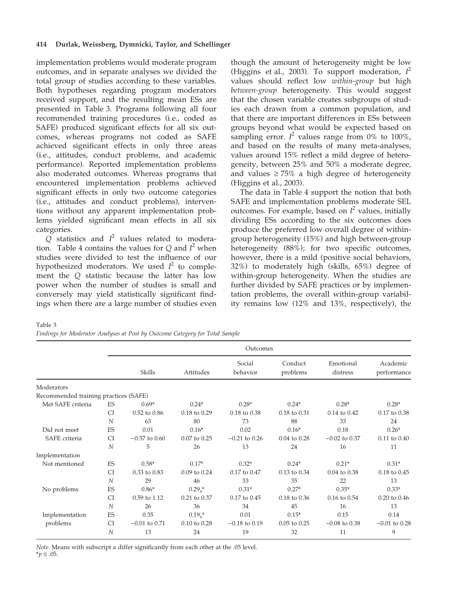implementation problems would moderate program outcomes, and in separate analyses we divided the total group of studies according to these variables. Both hypotheses regarding program moderators received support, and the resulting mean ESs are presented in Table 3. Programs following all four recommended training procedures (i.e., coded as SAFE) produced significant effects for all six outcomes, whereas programs not coded as SAFE achieved significant effects in only three areas (i.e., attitudes, conduct problems, and academic performance). Reported implementation problems also moderated outcomes. Whereas programs that encountered implementation problems achieved significant effects in only two outcome categories (i.e., attitudes and conduct problems), interventions without any apparent implementation problems yielded significant mean effects in all six categories.

 $\overline{Q}$  statistics and  $I^2$  values related to moderation. Table 4 contains the values for  $Q$  and  $I^2$  when studies were divided to test the influence of our hypothesized moderators. We used  $I^2$  to complement the Q statistic because the latter has low power when the number of studies is small and conversely may yield statistically significant findings when there are a large number of studies even though the amount of heterogeneity might be low (Higgins et al., 2003). To support moderation,  $I^2$ values should reflect low within-group but high between-group heterogeneity. This would suggest that the chosen variable creates subgroups of studies each drawn from a common population, and that there are important differences in ESs between groups beyond what would be expected based on sampling error.  $I^2$  values range from 0% to 100%, and based on the results of many meta-analyses, values around 15% reflect a mild degree of heterogeneity, between 25% and 50% a moderate degree, and values  $\geq 75\%$  a high degree of heterogeneity (Higgins et al., 2003).

The data in Table 4 support the notion that both SAFE and implementation problems moderate SEL outcomes. For example, based on  $I^2$  values, initially dividing ESs according to the six outcomes does produce the preferred low overall degree of withingroup heterogeneity (15%) and high between-group heterogeneity (88%); for two specific outcomes, however, there is a mild (positive social behaviors, 32%) to moderately high (skills, 65%) degree of within-group heterogeneity. When the studies are further divided by SAFE practices or by implementation problems, the overall within-group variability remains low (12% and 13%, respectively), the

Table 3

Findings for Moderator Analyses at Post by Outcome Category for Total Sample

|                                       |           |                   |                             | Outcomes           |                     |                       |                         |
|---------------------------------------|-----------|-------------------|-----------------------------|--------------------|---------------------|-----------------------|-------------------------|
|                                       |           | Skills            | Attitudes                   | Social<br>behavior | Conduct<br>problems | Emotional<br>distress | Academic<br>performance |
| Moderators                            |           |                   |                             |                    |                     |                       |                         |
| Recommended training practices (SAFE) |           |                   |                             |                    |                     |                       |                         |
| Met SAFE criteria                     | ES        | $0.69*$           | $0.24*$                     | $0.28*$            | $0.24*$             | $0.28*$               | $0.28*$                 |
|                                       | <b>CI</b> | 0.52 to 0.86      | 0.18 to 0.29                | 0.18 to 0.38       | $0.18$ to $0.31$    | 0.14 to 0.42          | 0.17 to 0.38            |
|                                       | N         | 63                | 80                          | 73                 | 88                  | 33                    | 24                      |
| Did not meet                          | ES        | 0.01              | $0.16*$                     | 0.02               | $0.16*$             | 0.18                  | $0.26*$                 |
| SAFE criteria                         | <b>CI</b> | $-0.57$ to $0.60$ | $0.07$ to $0.25$            | $-0.21$ to 0.26    | $0.04$ to $0.28$    | $-0.02$ to 0.37       | $0.11$ to $0.40\,$      |
|                                       | N         | 5                 | 26                          | 13                 | 24                  | 16                    | 11                      |
| Implementation                        |           |                   |                             |                    |                     |                       |                         |
| Not mentioned                         | ES        | $0.58*$           | $0.17*$                     | $0.32*$            | $0.24*$             | $0.21*$               | $0.31*$                 |
|                                       | <b>CI</b> | 0.33 to 0.83      | $0.09$ to $0.24$            | 0.17 to 0.47       | $0.13$ to $0.34$    | 0.04 to 0.38          | 0.18 to 0.45            |
|                                       | N         | 29                | 46                          | 33                 | 35                  | 22                    | 13                      |
| No problems                           | ES        | $0.86*$           | $0.29_a*$                   | $0.31*$            | $0.27*$             | $0.35*$               | $0.33*$                 |
|                                       | <b>CI</b> | 0.59 to 1.12      | 0.21 to 0.37                | 0.17 to 0.45       | $0.18$ to $0.36$    | $0.16$ to $0.54$      | $0.20$ to $0.46$        |
|                                       | N         | 26                | 36                          | 34                 | 45                  | 16                    | 13                      |
| Implementation                        | ES        | 0.35              | $0.19_{\rm a}$ <sup>*</sup> | 0.01               | $0.15*$             | 0.15                  | 0.14                    |
| problems                              | <b>CI</b> | $-0.01$ to 0.71   | $0.10$ to $0.28$            | $-0.18$ to 0.19    | $0.05$ to $0.25$    | $-0.08$ to 0.38       | $-0.01$ to 0.28         |
|                                       | N         | 13                | 24                          | 19                 | 32                  | 11                    | 9                       |

Note. Means with subscript a differ significantly from each other at the .05 level.  $**p* ≤ .05$ .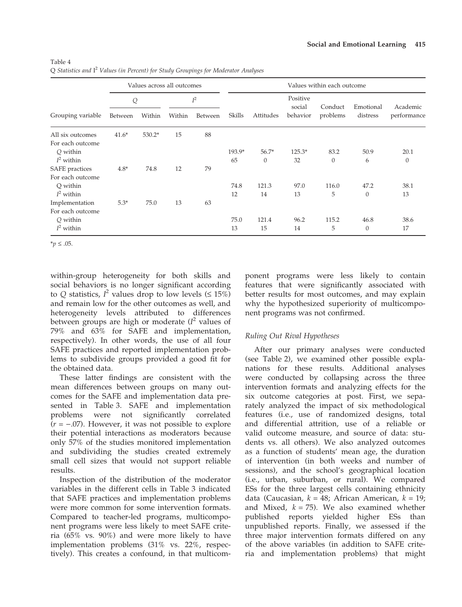|                   | Values across all outcomes |          |        |         | Values within each outcome |              |                    |                  |           |             |
|-------------------|----------------------------|----------|--------|---------|----------------------------|--------------|--------------------|------------------|-----------|-------------|
|                   | Q                          |          | $I^2$  |         |                            |              | Positive<br>social | Conduct          | Emotional | Academic    |
| Grouping variable | Between                    | Within   | Within | Between | <b>Skills</b>              | Attitudes    | behavior           | problems         | distress  | performance |
| All six outcomes  | $41.6*$                    | $530.2*$ | 15     | 88      |                            |              |                    |                  |           |             |
| For each outcome  |                            |          |        |         |                            |              |                    |                  |           |             |
| Q within          |                            |          |        |         | 193.9*                     | $56.7*$      | $125.3*$           | 83.2             | 50.9      | 20.1        |
| $I^2$ within      |                            |          |        |         | 65                         | $\mathbf{0}$ | 32                 | $\boldsymbol{0}$ | 6         | $\theta$    |
| SAFE practices    | $4.8*$                     | 74.8     | 12     | 79      |                            |              |                    |                  |           |             |
| For each outcome  |                            |          |        |         |                            |              |                    |                  |           |             |
| O within          |                            |          |        |         | 74.8                       | 121.3        | 97.0               | 116.0            | 47.2      | 38.1        |
| $I^2$ within      |                            |          |        |         | 12                         | 14           | 13                 | 5                | $\theta$  | 13          |
| Implementation    | $5.3*$                     | 75.0     | 13     | 63      |                            |              |                    |                  |           |             |
| For each outcome  |                            |          |        |         |                            |              |                    |                  |           |             |
| Q within          |                            |          |        |         | 75.0                       | 121.4        | 96.2               | 115.2            | 46.8      | 38.6        |
| $I^2$ within      |                            |          |        |         | 13                         | 15           | 14                 | 5                | $\theta$  | 17          |

| - Table 4                                                                              |  |
|----------------------------------------------------------------------------------------|--|
| $Q$ Statistics and $I2$ Values (in Percent) for Study Groupings for Moderator Analyses |  |

 $*_{p} \le .05$ .

 $T<sub>1</sub>$ 

within-group heterogeneity for both skills and social behaviors is no longer significant according to Q statistics,  $l^2$  values drop to low levels ( $\leq 15\%$ ) and remain low for the other outcomes as well, and heterogeneity levels attributed to differences between groups are high or moderate  $(I^2$  values of 79% and 63% for SAFE and implementation, respectively). In other words, the use of all four SAFE practices and reported implementation problems to subdivide groups provided a good fit for the obtained data.

These latter findings are consistent with the mean differences between groups on many outcomes for the SAFE and implementation data presented in Table 3. SAFE and implementation problems were not significantly correlated  $(r = -.07)$ . However, it was not possible to explore their potential interactions as moderators because only 57% of the studies monitored implementation and subdividing the studies created extremely small cell sizes that would not support reliable results.

Inspection of the distribution of the moderator variables in the different cells in Table 3 indicated that SAFE practices and implementation problems were more common for some intervention formats. Compared to teacher-led programs, multicomponent programs were less likely to meet SAFE criteria (65% vs. 90%) and were more likely to have implementation problems (31% vs. 22%, respectively). This creates a confound, in that multicomponent programs were less likely to contain features that were significantly associated with better results for most outcomes, and may explain why the hypothesized superiority of multicomponent programs was not confirmed.

# Ruling Out Rival Hypotheses

After our primary analyses were conducted (see Table 2), we examined other possible explanations for these results. Additional analyses were conducted by collapsing across the three intervention formats and analyzing effects for the six outcome categories at post. First, we separately analyzed the impact of six methodological features (i.e., use of randomized designs, total and differential attrition, use of a reliable or valid outcome measure, and source of data: students vs. all others). We also analyzed outcomes as a function of students' mean age, the duration of intervention (in both weeks and number of sessions), and the school's geographical location (i.e., urban, suburban, or rural). We compared ESs for the three largest cells containing ethnicity data (Caucasian,  $k = 48$ ; African American,  $k = 19$ ; and Mixed,  $k = 75$ ). We also examined whether published reports yielded higher ESs than unpublished reports. Finally, we assessed if the three major intervention formats differed on any of the above variables (in addition to SAFE criteria and implementation problems) that might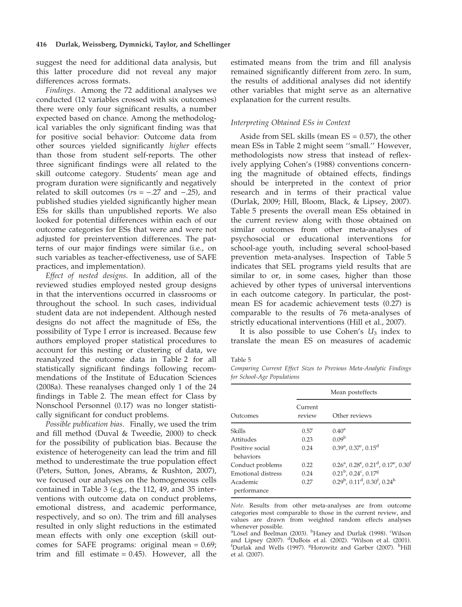suggest the need for additional data analysis, but this latter procedure did not reveal any major differences across formats.

Findings. Among the 72 additional analyses we conducted (12 variables crossed with six outcomes) there were only four significant results, a number expected based on chance. Among the methodological variables the only significant finding was that for positive social behavior: Outcome data from other sources yielded significantly higher effects than those from student self-reports. The other three significant findings were all related to the skill outcome category. Students' mean age and program duration were significantly and negatively related to skill outcomes ( $rs = -.27$  and  $-.25$ ), and published studies yielded significantly higher mean ESs for skills than unpublished reports. We also looked for potential differences within each of our outcome categories for ESs that were and were not adjusted for preintervention differences. The patterns of our major findings were similar (i.e., on such variables as teacher-effectiveness, use of SAFE practices, and implementation).

Effect of nested designs. In addition, all of the reviewed studies employed nested group designs in that the interventions occurred in classrooms or throughout the school. In such cases, individual student data are not independent. Although nested designs do not affect the magnitude of ESs, the possibility of Type I error is increased. Because few authors employed proper statistical procedures to account for this nesting or clustering of data, we reanalyzed the outcome data in Table 2 for all statistically significant findings following recommendations of the Institute of Education Sciences (2008a). These reanalyses changed only 1 of the 24 findings in Table 2. The mean effect for Class by Nonschool Personnel (0.17) was no longer statistically significant for conduct problems.

Possible publication bias. Finally, we used the trim and fill method (Duval & Tweedie, 2000) to check for the possibility of publication bias. Because the existence of heterogeneity can lead the trim and fill method to underestimate the true population effect (Peters, Sutton, Jones, Abrams, & Rushton, 2007), we focused our analyses on the homogeneous cells contained in Table 3 (e.g., the 112, 49, and 35 interventions with outcome data on conduct problems, emotional distress, and academic performance, respectively, and so on). The trim and fill analyses resulted in only slight reductions in the estimated mean effects with only one exception (skill outcomes for SAFE programs: original mean = 0.69; trim and fill estimate = 0.45). However, all the estimated means from the trim and fill analysis remained significantly different from zero. In sum, the results of additional analyses did not identify other variables that might serve as an alternative explanation for the current results.

#### Interpreting Obtained ESs in Context

Aside from SEL skills (mean  $ES = 0.57$ ), the other mean ESs in Table 2 might seem ''small.'' However, methodologists now stress that instead of reflexively applying Cohen's (1988) conventions concerning the magnitude of obtained effects, findings should be interpreted in the context of prior research and in terms of their practical value (Durlak, 2009; Hill, Bloom, Black, & Lipsey, 2007). Table 5 presents the overall mean ESs obtained in the current review along with those obtained on similar outcomes from other meta-analyses of psychosocial or educational interventions for school-age youth, including several school-based prevention meta-analyses. Inspection of Table 5 indicates that SEL programs yield results that are similar to or, in some cases, higher than those achieved by other types of universal interventions in each outcome category. In particular, the postmean ES for academic achievement tests (0.27) is comparable to the results of 76 meta-analyses of strictly educational interventions (Hill et al., 2007).

It is also possible to use Cohen's  $U_3$  index to translate the mean ES on measures of academic

Table 5

Comparing Current Effect Sizes to Previous Meta-Analytic Findings for School-Age Populations

|                              | Mean posteffects  |                                                                   |  |  |  |
|------------------------------|-------------------|-------------------------------------------------------------------|--|--|--|
| Outcomes                     | Current<br>review | Other reviews                                                     |  |  |  |
| Skills                       | 0.57              | $0.40^{\rm a}$                                                    |  |  |  |
| Attitudes                    | 0.23              | 0.09 <sup>b</sup>                                                 |  |  |  |
| Positive social<br>behaviors | 0.24              | $0.39^{\rm a}$ , $0.37^{\rm c}$ , $0.15^{\rm d}$                  |  |  |  |
| Conduct problems             | 0.22              | $0.26^a$ , $0.28^c$ , $0.21^d$ , $0.17^e$ , $0.30^f$              |  |  |  |
| Emotional distress           | 0.24              | $0.21^{\rm b}$ , $0.24^{\rm c}$ , $0.17^{\rm g}$                  |  |  |  |
| Academic<br>performance      | 0.27              | $0.29^{\rm b}$ , $0.11^{\rm d}$ , $0.30^{\rm f}$ , $0.24^{\rm h}$ |  |  |  |

Note. Results from other meta-analyses are from outcome categories most comparable to those in the current review, and values are drawn from weighted random effects analyses whenever possible.

<sup>&</sup>lt;sup>a</sup>Lösel and Beelman (2003). <sup>b</sup>Haney and Durlak (1998). <sup>c</sup>Wilson and Lipsey (2007). <sup>d</sup>DuBois et al. (2002). <sup>e</sup>Wilson et al. (2001).<br><sup>f</sup>Durlak and Wells (1997). *EHorowitz* and Carber (2007). <sup>h</sup>Hill Durlak and Wells (1997). <sup>8</sup>Horowitz and Garber (2007). <sup>h</sup>Hill et al. (2007).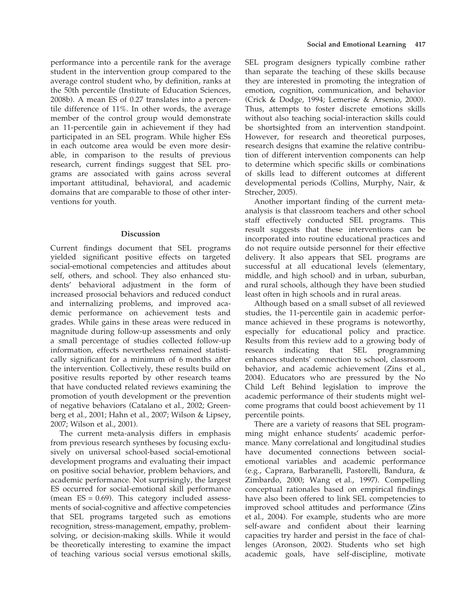performance into a percentile rank for the average student in the intervention group compared to the average control student who, by definition, ranks at the 50th percentile (Institute of Education Sciences, 2008b). A mean ES of 0.27 translates into a percentile difference of 11%. In other words, the average member of the control group would demonstrate an 11-percentile gain in achievement if they had participated in an SEL program. While higher ESs in each outcome area would be even more desirable, in comparison to the results of previous research, current findings suggest that SEL programs are associated with gains across several important attitudinal, behavioral, and academic domains that are comparable to those of other interventions for youth.

### Discussion

Current findings document that SEL programs yielded significant positive effects on targeted social-emotional competencies and attitudes about self, others, and school. They also enhanced students' behavioral adjustment in the form of increased prosocial behaviors and reduced conduct and internalizing problems, and improved academic performance on achievement tests and grades. While gains in these areas were reduced in magnitude during follow-up assessments and only a small percentage of studies collected follow-up information, effects nevertheless remained statistically significant for a minimum of 6 months after the intervention. Collectively, these results build on positive results reported by other research teams that have conducted related reviews examining the promotion of youth development or the prevention of negative behaviors (Catalano et al., 2002; Greenberg et al., 2001; Hahn et al., 2007; Wilson & Lipsey, 2007; Wilson et al., 2001).

The current meta-analysis differs in emphasis from previous research syntheses by focusing exclusively on universal school-based social-emotional development programs and evaluating their impact on positive social behavior, problem behaviors, and academic performance. Not surprisingly, the largest ES occurred for social-emotional skill performance (mean  $ES = 0.69$ ). This category included assessments of social-cognitive and affective competencies that SEL programs targeted such as emotions recognition, stress-management, empathy, problemsolving, or decision-making skills. While it would be theoretically interesting to examine the impact of teaching various social versus emotional skills,

SEL program designers typically combine rather than separate the teaching of these skills because they are interested in promoting the integration of emotion, cognition, communication, and behavior (Crick & Dodge, 1994; Lemerise & Arsenio, 2000). Thus, attempts to foster discrete emotions skills without also teaching social-interaction skills could be shortsighted from an intervention standpoint. However, for research and theoretical purposes, research designs that examine the relative contribution of different intervention components can help to determine which specific skills or combinations of skills lead to different outcomes at different developmental periods (Collins, Murphy, Nair, & Strecher, 2005).

Another important finding of the current metaanalysis is that classroom teachers and other school staff effectively conducted SEL programs. This result suggests that these interventions can be incorporated into routine educational practices and do not require outside personnel for their effective delivery. It also appears that SEL programs are successful at all educational levels (elementary, middle, and high school) and in urban, suburban, and rural schools, although they have been studied least often in high schools and in rural areas.

Although based on a small subset of all reviewed studies, the 11-percentile gain in academic performance achieved in these programs is noteworthy, especially for educational policy and practice. Results from this review add to a growing body of research indicating that SEL programming enhances students' connection to school, classroom behavior, and academic achievement (Zins et al., 2004). Educators who are pressured by the No Child Left Behind legislation to improve the academic performance of their students might welcome programs that could boost achievement by 11 percentile points.

There are a variety of reasons that SEL programming might enhance students' academic performance. Many correlational and longitudinal studies have documented connections between socialemotional variables and academic performance (e.g., Caprara, Barbaranelli, Pastorelli, Bandura, & Zimbardo, 2000; Wang et al., 1997). Compelling conceptual rationales based on empirical findings have also been offered to link SEL competencies to improved school attitudes and performance (Zins et al., 2004). For example, students who are more self-aware and confident about their learning capacities try harder and persist in the face of challenges (Aronson, 2002). Students who set high academic goals, have self-discipline, motivate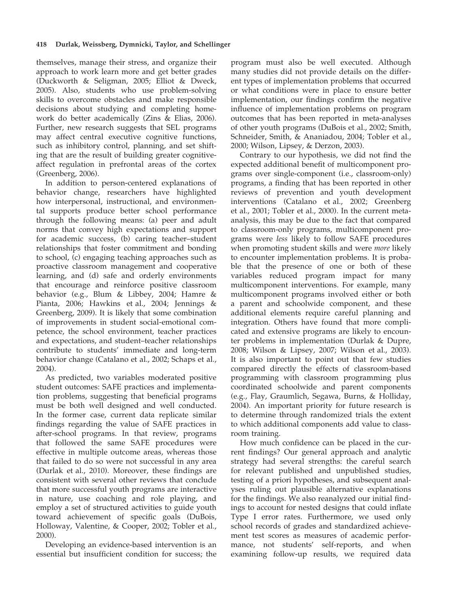themselves, manage their stress, and organize their approach to work learn more and get better grades (Duckworth & Seligman, 2005; Elliot & Dweck, 2005). Also, students who use problem-solving skills to overcome obstacles and make responsible decisions about studying and completing homework do better academically (Zins & Elias, 2006). Further, new research suggests that SEL programs may affect central executive cognitive functions, such as inhibitory control, planning, and set shifting that are the result of building greater cognitiveaffect regulation in prefrontal areas of the cortex (Greenberg, 2006).

In addition to person-centered explanations of behavior change, researchers have highlighted how interpersonal, instructional, and environmental supports produce better school performance through the following means: (a) peer and adult norms that convey high expectations and support for academic success, (b) caring teacher–student relationships that foster commitment and bonding to school, (c) engaging teaching approaches such as proactive classroom management and cooperative learning, and (d) safe and orderly environments that encourage and reinforce positive classroom behavior (e.g., Blum & Libbey, 2004; Hamre & Pianta, 2006; Hawkins et al., 2004; Jennings & Greenberg, 2009). It is likely that some combination of improvements in student social-emotional competence, the school environment, teacher practices and expectations, and student–teacher relationships contribute to students' immediate and long-term behavior change (Catalano et al., 2002; Schaps et al., 2004).

As predicted, two variables moderated positive student outcomes: SAFE practices and implementation problems, suggesting that beneficial programs must be both well designed and well conducted. In the former case, current data replicate similar findings regarding the value of SAFE practices in after-school programs. In that review, programs that followed the same SAFE procedures were effective in multiple outcome areas, whereas those that failed to do so were not successful in any area (Durlak et al., 2010). Moreover, these findings are consistent with several other reviews that conclude that more successful youth programs are interactive in nature, use coaching and role playing, and employ a set of structured activities to guide youth toward achievement of specific goals (DuBois, Holloway, Valentine, & Cooper, 2002; Tobler et al., 2000).

Developing an evidence-based intervention is an essential but insufficient condition for success; the

program must also be well executed. Although many studies did not provide details on the different types of implementation problems that occurred or what conditions were in place to ensure better implementation, our findings confirm the negative influence of implementation problems on program outcomes that has been reported in meta-analyses of other youth programs (DuBois et al., 2002; Smith, Schneider, Smith, & Ananiadou, 2004; Tobler et al., 2000; Wilson, Lipsey, & Derzon, 2003).

Contrary to our hypothesis, we did not find the expected additional benefit of multicomponent programs over single-component (i.e., classroom-only) programs, a finding that has been reported in other reviews of prevention and youth development interventions (Catalano et al., 2002; Greenberg et al., 2001; Tobler et al., 2000). In the current metaanalysis, this may be due to the fact that compared to classroom-only programs, multicomponent programs were less likely to follow SAFE procedures when promoting student skills and were *more* likely to encounter implementation problems. It is probable that the presence of one or both of these variables reduced program impact for many multicomponent interventions. For example, many multicomponent programs involved either or both a parent and schoolwide component, and these additional elements require careful planning and integration. Others have found that more complicated and extensive programs are likely to encounter problems in implementation (Durlak & Dupre, 2008; Wilson & Lipsey, 2007; Wilson et al., 2003). It is also important to point out that few studies compared directly the effects of classroom-based programming with classroom programming plus coordinated schoolwide and parent components (e.g., Flay, Graumlich, Segawa, Burns, & Holliday, 2004). An important priority for future research is to determine through randomized trials the extent to which additional components add value to classroom training.

How much confidence can be placed in the current findings? Our general approach and analytic strategy had several strengths: the careful search for relevant published and unpublished studies, testing of a priori hypotheses, and subsequent analyses ruling out plausible alternative explanations for the findings. We also reanalyzed our initial findings to account for nested designs that could inflate Type I error rates. Furthermore, we used only school records of grades and standardized achievement test scores as measures of academic performance, not students' self-reports, and when examining follow-up results, we required data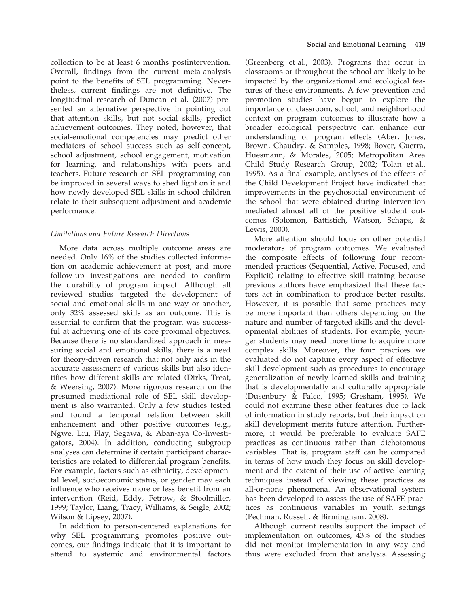collection to be at least 6 months postintervention. Overall, findings from the current meta-analysis point to the benefits of SEL programming. Nevertheless, current findings are not definitive. The longitudinal research of Duncan et al. (2007) presented an alternative perspective in pointing out that attention skills, but not social skills, predict achievement outcomes. They noted, however, that social-emotional competencies may predict other mediators of school success such as self-concept, school adjustment, school engagement, motivation for learning, and relationships with peers and teachers. Future research on SEL programming can be improved in several ways to shed light on if and how newly developed SEL skills in school children relate to their subsequent adjustment and academic performance.

# Limitations and Future Research Directions

More data across multiple outcome areas are needed. Only 16% of the studies collected information on academic achievement at post, and more follow-up investigations are needed to confirm the durability of program impact. Although all reviewed studies targeted the development of social and emotional skills in one way or another, only 32% assessed skills as an outcome. This is essential to confirm that the program was successful at achieving one of its core proximal objectives. Because there is no standardized approach in measuring social and emotional skills, there is a need for theory-driven research that not only aids in the accurate assessment of various skills but also identifies how different skills are related (Dirks, Treat, & Weersing, 2007). More rigorous research on the presumed mediational role of SEL skill development is also warranted. Only a few studies tested and found a temporal relation between skill enhancement and other positive outcomes (e.g., Ngwe, Liu, Flay, Segawa, & Aban-aya Co-Investigators, 2004). In addition, conducting subgroup analyses can determine if certain participant characteristics are related to differential program benefits. For example, factors such as ethnicity, developmental level, socioeconomic status, or gender may each influence who receives more or less benefit from an intervention (Reid, Eddy, Fetrow, & Stoolmiller, 1999; Taylor, Liang, Tracy, Williams, & Seigle, 2002; Wilson & Lipsey, 2007).

In addition to person-centered explanations for why SEL programming promotes positive outcomes, our findings indicate that it is important to attend to systemic and environmental factors

(Greenberg et al., 2003). Programs that occur in classrooms or throughout the school are likely to be impacted by the organizational and ecological features of these environments. A few prevention and promotion studies have begun to explore the importance of classroom, school, and neighborhood context on program outcomes to illustrate how a broader ecological perspective can enhance our understanding of program effects (Aber, Jones, Brown, Chaudry, & Samples, 1998; Boxer, Guerra, Huesmann, & Morales, 2005; Metropolitan Area Child Study Research Group, 2002; Tolan et al., 1995). As a final example, analyses of the effects of the Child Development Project have indicated that improvements in the psychosocial environment of the school that were obtained during intervention mediated almost all of the positive student outcomes (Solomon, Battistich, Watson, Schaps, & Lewis, 2000).

More attention should focus on other potential moderators of program outcomes. We evaluated the composite effects of following four recommended practices (Sequential, Active, Focused, and Explicit) relating to effective skill training because previous authors have emphasized that these factors act in combination to produce better results. However, it is possible that some practices may be more important than others depending on the nature and number of targeted skills and the developmental abilities of students. For example, younger students may need more time to acquire more complex skills. Moreover, the four practices we evaluated do not capture every aspect of effective skill development such as procedures to encourage generalization of newly learned skills and training that is developmentally and culturally appropriate (Dusenbury & Falco, 1995; Gresham, 1995). We could not examine these other features due to lack of information in study reports, but their impact on skill development merits future attention. Furthermore, it would be preferable to evaluate SAFE practices as continuous rather than dichotomous variables. That is, program staff can be compared in terms of how much they focus on skill development and the extent of their use of active learning techniques instead of viewing these practices as all-or-none phenomena. An observational system has been developed to assess the use of SAFE practices as continuous variables in youth settings (Pechman, Russell, & Birmingham, 2008).

Although current results support the impact of implementation on outcomes, 43% of the studies did not monitor implementation in any way and thus were excluded from that analysis. Assessing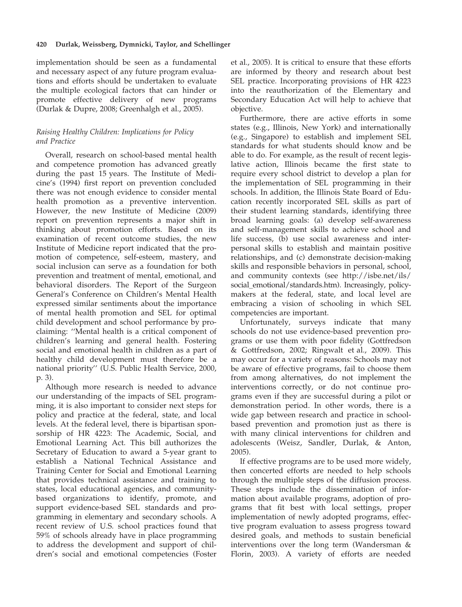implementation should be seen as a fundamental and necessary aspect of any future program evaluations and efforts should be undertaken to evaluate the multiple ecological factors that can hinder or promote effective delivery of new programs (Durlak & Dupre, 2008; Greenhalgh et al., 2005).

# Raising Healthy Children: Implications for Policy and Practice

Overall, research on school-based mental health and competence promotion has advanced greatly during the past 15 years. The Institute of Medicine's (1994) first report on prevention concluded there was not enough evidence to consider mental health promotion as a preventive intervention. However, the new Institute of Medicine (2009) report on prevention represents a major shift in thinking about promotion efforts. Based on its examination of recent outcome studies, the new Institute of Medicine report indicated that the promotion of competence, self-esteem, mastery, and social inclusion can serve as a foundation for both prevention and treatment of mental, emotional, and behavioral disorders. The Report of the Surgeon General's Conference on Children's Mental Health expressed similar sentiments about the importance of mental health promotion and SEL for optimal child development and school performance by proclaiming: ''Mental health is a critical component of children's learning and general health. Fostering social and emotional health in children as a part of healthy child development must therefore be a national priority'' (U.S. Public Health Service, 2000, p. 3).

Although more research is needed to advance our understanding of the impacts of SEL programming, it is also important to consider next steps for policy and practice at the federal, state, and local levels. At the federal level, there is bipartisan sponsorship of HR 4223: The Academic, Social, and Emotional Learning Act. This bill authorizes the Secretary of Education to award a 5-year grant to establish a National Technical Assistance and Training Center for Social and Emotional Learning that provides technical assistance and training to states, local educational agencies, and communitybased organizations to identify, promote, and support evidence-based SEL standards and programming in elementary and secondary schools. A recent review of U.S. school practices found that 59% of schools already have in place programming to address the development and support of children's social and emotional competencies (Foster

et al., 2005). It is critical to ensure that these efforts are informed by theory and research about best SEL practice. Incorporating provisions of HR 4223 into the reauthorization of the Elementary and Secondary Education Act will help to achieve that objective.

Furthermore, there are active efforts in some states (e.g., Illinois, New York) and internationally (e.g., Singapore) to establish and implement SEL standards for what students should know and be able to do. For example, as the result of recent legislative action, Illinois became the first state to require every school district to develop a plan for the implementation of SEL programming in their schools. In addition, the Illinois State Board of Education recently incorporated SEL skills as part of their student learning standards, identifying three broad learning goals: (a) develop self-awareness and self-management skills to achieve school and life success, (b) use social awareness and interpersonal skills to establish and maintain positive relationships, and (c) demonstrate decision-making skills and responsible behaviors in personal, school, and community contexts (see http://isbe.net/ils/ social\_emotional/standards.htm). Increasingly, policymakers at the federal, state, and local level are embracing a vision of schooling in which SEL competencies are important.

Unfortunately, surveys indicate that many schools do not use evidence-based prevention programs or use them with poor fidelity (Gottfredson & Gottfredson, 2002; Ringwalt et al., 2009). This may occur for a variety of reasons: Schools may not be aware of effective programs, fail to choose them from among alternatives, do not implement the interventions correctly, or do not continue programs even if they are successful during a pilot or demonstration period. In other words, there is a wide gap between research and practice in schoolbased prevention and promotion just as there is with many clinical interventions for children and adolescents (Weisz, Sandler, Durlak, & Anton, 2005).

If effective programs are to be used more widely, then concerted efforts are needed to help schools through the multiple steps of the diffusion process. These steps include the dissemination of information about available programs, adoption of programs that fit best with local settings, proper implementation of newly adopted programs, effective program evaluation to assess progress toward desired goals, and methods to sustain beneficial interventions over the long term (Wandersman & Florin, 2003). A variety of efforts are needed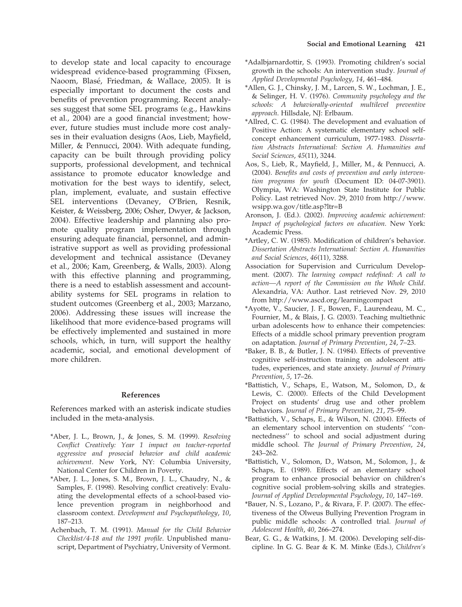to develop state and local capacity to encourage widespread evidence-based programming (Fixsen, Naoom, Blasé, Friedman, & Wallace, 2005). It is especially important to document the costs and benefits of prevention programming. Recent analyses suggest that some SEL programs (e.g., Hawkins et al., 2004) are a good financial investment; however, future studies must include more cost analyses in their evaluation designs (Aos, Lieb, Mayfield, Miller, & Pennucci, 2004). With adequate funding, capacity can be built through providing policy supports, professional development, and technical assistance to promote educator knowledge and motivation for the best ways to identify, select, plan, implement, evaluate, and sustain effective SEL interventions (Devaney, O'Brien, Resnik, Keister, & Weissberg, 2006; Osher, Dwyer, & Jackson, 2004). Effective leadership and planning also promote quality program implementation through ensuring adequate financial, personnel, and administrative support as well as providing professional development and technical assistance (Devaney et al., 2006; Kam, Greenberg, & Walls, 2003). Along with this effective planning and programming, there is a need to establish assessment and accountability systems for SEL programs in relation to student outcomes (Greenberg et al., 2003; Marzano, 2006). Addressing these issues will increase the likelihood that more evidence-based programs will be effectively implemented and sustained in more schools, which, in turn, will support the healthy academic, social, and emotional development of more children.

## References

References marked with an asterisk indicate studies included in the meta-analysis.

- \*Aber, J. L., Brown, J., & Jones, S. M. (1999). Resolving Conflict Creatively: Year 1 impact on teacher-reported aggressive and prosocial behavior and child academic achievement. New York, NY: Columbia University, National Center for Children in Poverty.
- \*Aber, J. L., Jones, S. M., Brown, J. L., Chaudry, N., & Samples, F. (1998). Resolving conflict creatively: Evaluating the developmental effects of a school-based violence prevention program in neighborhood and classroom context. Development and Psychopathology, 10, 187–213.
- Achenbach, T. M. (1991). Manual for the Child Behavior Checklist⁄ 4-18 and the 1991 profile. Unpublished manuscript, Department of Psychiatry, University of Vermont.
- \*Adalbjarnardottir, S. (1993). Promoting children's social growth in the schools: An intervention study. Journal of Applied Developmental Psychology, 14, 461–484.
- \*Allen, G. J., Chinsky, J. M., Larcen, S. W., Lochman, J. E., & Selinger, H. V. (1976). Community psychology and the schools: A behaviorally-oriented multilevel preventive approach. Hillsdale, NJ: Erlbaum.
- \*Allred, C. G. (1984). The development and evaluation of Positive Action: A systematic elementary school selfconcept enhancement curriculum, 1977-1983. Dissertation Abstracts International: Section A. Humanities and Social Sciences, 45(11), 3244.
- Aos, S., Lieb, R., Mayfield, J., Miller, M., & Pennucci, A. (2004). Benefits and costs of prevention and early intervention programs for youth (Document ID: 04-07-3901). Olympia, WA: Washington State Institute for Public Policy. Last retrieved Nov. 29, 2010 from http://www. wsipp.wa.gov/title.asp?ltr=B
- Aronson, J. (Ed.). (2002). Improving academic achievement: Impact of psychological factors on education. New York: Academic Press.
- \*Artley, C. W. (1985). Modification of children's behavior. Dissertation Abstracts International: Section A. Humanities and Social Sciences, 46(11), 3288.
- Association for Supervision and Curriculum Development. (2007). The learning compact redefined: A call to action—A report of the Commission on the Whole Child. Alexandria, VA: Author. Last retrieved Nov. 29, 2010 from http://www.ascd.org/learningcompact
- \*Ayotte, V., Saucier, J. F., Bowen, F., Laurendeau, M. C., Fournier, M., & Blais, J. G. (2003). Teaching multiethnic urban adolescents how to enhance their competencies: Effects of a middle school primary prevention program on adaptation. Journal of Primary Prevention, 24, 7–23.
- \*Baker, B. B., & Butler, J. N. (1984). Effects of preventive cognitive self-instruction training on adolescent attitudes, experiences, and state anxiety. Journal of Primary Prevention, 5, 17–26.
- \*Battistich, V., Schaps, E., Watson, M., Solomon, D., & Lewis, C. (2000). Effects of the Child Development Project on students' drug use and other problem behaviors. Journal of Primary Prevention, 21, 75–99.
- \*Battistich, V., Schaps, E., & Wilson, N. (2004). Effects of an elementary school intervention on students' ''connectedness'' to school and social adjustment during middle school. The Journal of Primary Prevention, 24, 243–262.
- \*Battistich, V., Solomon, D., Watson, M., Solomon, J., & Schaps, E. (1989). Effects of an elementary school program to enhance prosocial behavior on children's cognitive social problem-solving skills and strategies. Journal of Applied Developmental Psychology, 10, 147–169.
- \*Bauer, N. S., Lozano, P., & Rivara, F. P. (2007). The effectiveness of the Olweus Bullying Prevention Program in public middle schools: A controlled trial. Journal of Adolescent Health, 40, 266–274.
- Bear, G. G., & Watkins, J. M. (2006). Developing self-discipline. In G. G. Bear & K. M. Minke (Eds.), Children's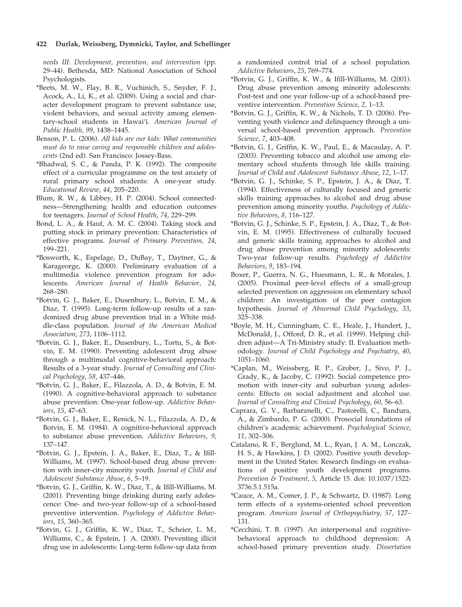needs III: Development, prevention, and intervention (pp. 29–44). Bethesda, MD: National Association of School Psychologists.

- \*Beets, M. W., Flay, B. R., Vuchinich, S., Snyder, F. J., Acock, A., Li, K., et al. (2009). Using a social and character development program to prevent substance use, violent behaviors, and sexual activity among elementary-school students in Hawai'i. American Journal of Public Health, 99, 1438–1445.
- Benson, P. L. (2006). All kids are our kids: What communities must do to raise caring and responsible children and adolescents (2nd ed). San Francisco: Jossey-Bass.
- \*Bhadwal, S. C., & Panda, P. K. (1992). The composite effect of a curricular programme on the test anxiety of rural primary school students: A one-year study. Educational Review, 44, 205–220.
- Blum, R. W., & Libbey, H. P. (2004). School connectedness—Strengthening health and education outcomes for teenagers. Journal of School Health, 74, 229–299.
- Bond, L. A., & Hauf, A. M. C. (2004). Taking stock and putting stock in primary prevention: Characteristics of effective programs. Journal of Primary Prevention, 24, 199–221.
- \*Bosworth, K., Espelage, D., DuBay, T., Daytner, G., & Karageorge, K. (2000). Preliminary evaluation of a multimedia violence prevention program for adolescents. American Journal of Health Behavior, 24, 268–280.
- \*Botvin, G. J., Baker, E., Dusenbury, L., Botvin, E. M., & Diaz, T. (1995). Long-term follow-up results of a randomized drug abuse prevention trial in a White middle-class population. Journal of the American Medical Association, 273, 1106–1112.
- \*Botvin, G. J., Baker, E., Dusenbury, L., Tortu, S., & Botvin, E. M. (1990). Preventing adolescent drug abuse through a multimodal cognitive-behavioral approach: Results of a 3-year study. Journal of Consulting and Clinical Psychology, 58, 437–446.
- \*Botvin, G. J., Baker, E., Filazzola, A. D., & Botvin, E. M. (1990). A cognitive-behavioral approach to substance abuse prevention: One-year follow-up. Addictive Behaviors, 15, 47–63.
- \*Botvin, G. J., Baker, E., Renick, N. L., Filazzola, A. D., & Botvin, E. M. (1984). A cognitive-behavioral approach to substance abuse prevention. Addictive Behaviors, 9, 137–147.
- \*Botvin, G. J., Epstein, J. A., Baker, E., Diaz, T., & Ifill-Williams, M. (1997). School-based drug abuse prevention with inner-city minority youth. Journal of Child and Adolescent Substance Abuse, 6, 5–19.
- \*Botvin, G. J., Griffin, K. W., Diaz, T., & Ifill-Williams, M. (2001). Preventing binge drinking during early adolescence: One- and two-year follow-up of a school-based preventive intervention. Psychology of Addictive Behaviors, 15, 360–365.
- \*Botvin, G. J., Griffin, K. W., Diaz, T., Scheier, L. M., Williams, C., & Epstein, J. A. (2000). Preventing illicit drug use in adolescents: Long-term follow-up data from

a randomized control trial of a school population. Addictive Behaviors, 25, 769–774.

- \*Botvin, G. J., Griffin, K. W., & Ifill-Williams, M. (2001). Drug abuse prevention among minority adolescents: Post-test and one year follow-up of a school-based preventive intervention. Prevention Science, 2, 1–13.
- \*Botvin, G. J., Griffin, K. W., & Nichols, T. D. (2006). Preventing youth violence and delinquency through a universal school-based prevention approach. Prevention Science, 7, 403–408.
- \*Botvin, G. J., Griffin, K. W., Paul, E., & Macaulay, A. P. (2003). Preventing tobacco and alcohol use among elementary school students through life skills training. Journal of Child and Adolescent Substance Abuse, 12, 1–17.
- \*Botvin, G. J., Schinke, S. P., Epstein, J. A., & Diaz, T. (1994). Effectiveness of culturally focused and generic skills training approaches to alcohol and drug abuse prevention among minority youths. Psychology of Addictive Behaviors, 8, 116–127.
- \*Botvin, G. J., Schinke, S. P., Epstein, J. A., Diaz, T., & Botvin, E. M. (1995). Effectiveness of culturally focused and generic skills training approaches to alcohol and drug abuse prevention among minority adolescents: Two-year follow-up results. Psychology of Addictive Behaviors, 9, 183–194.
- Boxer, P., Guerra, N. G., Huesmann, L. R., & Morales, J. (2005). Proximal peer-level effects of a small-group selected prevention on aggression on elementary school children: An investigation of the peer contagion hypothesis. Journal of Abnormal Child Psychology, 33, 325–338.
- \*Boyle, M. H., Cunningham, C. E., Heale, J., Hundert, J., McDonald, J., Offord, D. R., et al. (1999). Helping children adjust—A Tri-Ministry study: II. Evaluation methodology. Journal of Child Psychology and Psychiatry, 40, 1051–1060.
- \*Caplan, M., Weissberg, R. P., Grober, J., Sivo, P. J., Grady, K., & Jacoby, C. (1992). Social competence promotion with inner-city and suburban young adolescents: Effects on social adjustment and alcohol use. Journal of Consulting and Clinical Psychology, 60, 56–63.
- Caprara, G. V., Barbaranelli, C., Pastorelli, C., Bandura, A., & Zimbardo, P. G. (2000). Prosocial foundations of children's academic achievement. Psychological Science, 11, 302–306.
- Catalano, R. F., Berglund, M. L., Ryan, J. A. M., Lonczak, H. S., & Hawkins, J. D. (2002). Positive youth development in the United States: Research findings on evaluations of positive youth development programs. Prevention & Treatment, 5, Article 15. doi: 10.1037/1522- 3736.5.1.515a.
- \*Cauce, A. M., Comer, J. P., & Schwartz, D. (1987). Long term effects of a systems-oriented school prevention program. American Journal of Orthopsychiatry, 57, 127– 131.
- \*Cecchini, T. B. (1997). An interpersonal and cognitivebehavioral approach to childhood depression: A school-based primary prevention study. Dissertation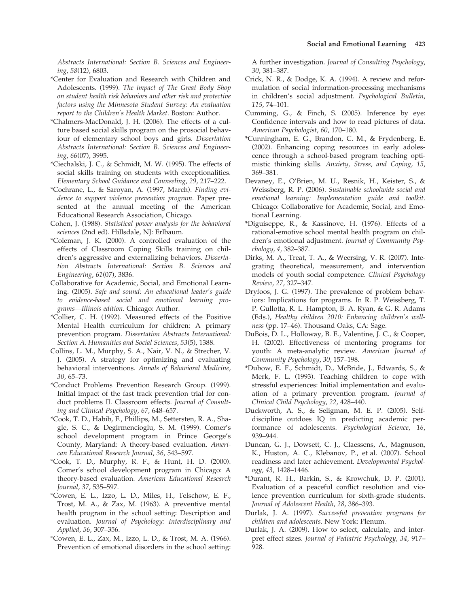Abstracts International: Section B. Sciences and Engineering, 58(12), 6803.

- \*Center for Evaluation and Research with Children and Adolescents. (1999). The impact of The Great Body Shop on student health risk behaviors and other risk and protective factors using the Minnesota Student Survey: An evaluation report to the Children's Health Market. Boston: Author.
- \*Chalmers-MacDonald, J. H. (2006). The effects of a culture based social skills program on the prosocial behaviour of elementary school boys and girls. Dissertation Abstracts International: Section B. Sciences and Engineering, 66(07), 3995.
- \*Ciechalski, J. C., & Schmidt, M. W. (1995). The effects of social skills training on students with exceptionalities. Elementary School Guidance and Counseling, 29, 217–222.
- \*Cochrane, L., & Saroyan, A. (1997, March). Finding evidence to support violence prevention program. Paper presented at the annual meeting of the American Educational Research Association, Chicago.
- Cohen, J. (1988). Statistical power analysis for the behavioral sciences (2nd ed). Hillsdale, NJ: Erlbaum.
- \*Coleman, J. K. (2000). A controlled evaluation of the effects of Classroom Coping Skills training on children's aggressive and externalizing behaviors. Dissertation Abstracts International: Section B. Sciences and Engineering, 61(07), 3836.
- Collaborative for Academic, Social, and Emotional Learning. (2005). Safe and sound: An educational leader's guide to evidence-based social and emotional learning programs—Illinois edition. Chicago: Author.
- \*Collier, C. H. (1992). Measured effects of the Positive Mental Health curriculum for children: A primary prevention program. Dissertation Abstracts International: Section A. Humanities and Social Sciences, 53(5), 1388.
- Collins, L. M., Murphy, S. A., Nair, V. N., & Strecher, V. J. (2005). A strategy for optimizing and evaluating behavioral interventions. Annals of Behavioral Medicine, 30, 65–73.
- \*Conduct Problems Prevention Research Group. (1999). Initial impact of the fast track prevention trial for conduct problems II. Classroom effects. Journal of Consulting and Clinical Psychology, 67, 648–657.
- \*Cook, T. D., Habib, F., Phillips, M., Settersten, R. A., Shagle, S. C., & Degirmencioglu, S. M. (1999). Comer's school development program in Prince George's County, Maryland: A theory-based evaluation. American Educational Research Journal, 36, 543–597.
- \*Cook, T. D., Murphy, R. F., & Hunt, H. D. (2000). Comer's school development program in Chicago: A theory-based evaluation. American Educational Research Journal, 37, 535–597.
- \*Cowen, E. L., Izzo, L. D., Miles, H., Telschow, E. F., Trost, M. A., & Zax, M. (1963). A preventive mental health program in the school setting: Description and evaluation. Journal of Psychology: Interdisciplinary and Applied, 56, 307–356.
- \*Cowen, E. L., Zax, M., Izzo, L. D., & Trost, M. A. (1966). Prevention of emotional disorders in the school setting:

A further investigation. Journal of Consulting Psychology, 30, 381–387.

- Crick, N. R., & Dodge, K. A. (1994). A review and reformulation of social information-processing mechanisms in children's social adjustment. Psychological Bulletin, 115, 74–101.
- Cumming, G., & Finch, S. (2005). Inference by eye: Confidence intervals and how to read pictures of data. American Psychologist, 60, 170–180.
- \*Cunningham, E. G., Brandon, C. M., & Frydenberg, E. (2002). Enhancing coping resources in early adolescence through a school-based program teaching optimistic thinking skills. Anxiety, Stress, and Coping, 15, 369–381.
- Devaney, E., O'Brien, M. U., Resnik, H., Keister, S., & Weissberg, R. P. (2006). Sustainable schoolwide social and emotional learning: Implementation guide and toolkit. Chicago: Collaborative for Academic, Social, and Emotional Learning.
- \*Diguiseppe, R., & Kassinove, H. (1976). Effects of a rational-emotive school mental health program on children's emotional adjustment. Journal of Community Psychology, 4, 382–387.
- Dirks, M. A., Treat, T. A., & Weersing, V. R. (2007). Integrating theoretical, measurement, and intervention models of youth social competence. Clinical Psychology Review, 27, 327–347.
- Dryfoos, J. G. (1997). The prevalence of problem behaviors: Implications for programs. In R. P. Weissberg, T. P. Gullotta, R. L. Hampton, B. A. Ryan, & G. R. Adams (Eds.), Healthy children 2010: Enhancing children's wellness (pp. 17–46). Thousand Oaks, CA: Sage.
- DuBois, D. L., Holloway, B. E., Valentine, J. C., & Cooper, H. (2002). Effectiveness of mentoring programs for youth: A meta-analytic review. American Journal of Community Psychology, 30, 157–198.
- \*Dubow, E. F., Schmidt, D., McBride, J., Edwards, S., & Merk, F. L. (1993). Teaching children to cope with stressful experiences: Initial implementation and evaluation of a primary prevention program. Journal of Clinical Child Psychology, 22, 428–440.
- Duckworth, A. S., & Seligman, M. E. P. (2005). Selfdiscipline outdoes IQ in predicting academic performance of adolescents. Psychological Science, 16, 939–944.
- Duncan, G. J., Dowsett, C. J., Claessens, A., Magnuson, K., Huston, A. C., Klebanov, P., et al. (2007). School readiness and later achievement. Developmental Psychology, 43, 1428–1446.
- \*Durant, R. H., Barkin, S., & Krowchuk, D. P. (2001). Evaluation of a peaceful conflict resolution and violence prevention curriculum for sixth-grade students. Journal of Adolescent Health, 28, 386–393.
- Durlak, J. A. (1997). Successful prevention programs for children and adolescents. New York: Plenum.
- Durlak, J. A. (2009). How to select, calculate, and interpret effect sizes. Journal of Pediatric Psychology, 34, 917– 928.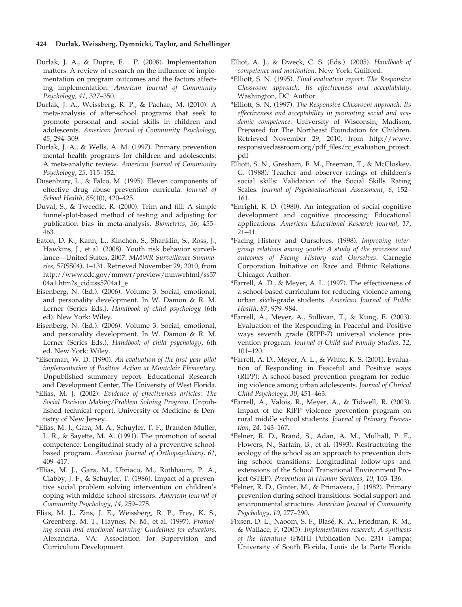- Durlak, J. A., & Dupre, E. . P. (2008). Implementation matters: A review of research on the influence of implementation on program outcomes and the factors affecting implementation. American Journal of Community Psychology, 41, 327–350.
- Durlak, J. A., Weissberg, R. P., & Pachan, M. (2010). A meta-analysis of after-school programs that seek to promote personal and social skills in children and adolescents. American Journal of Community Psychology, 45, 294–309.
- Durlak, J. A., & Wells, A. M. (1997). Primary prevention mental health programs for children and adolescents: A meta-analytic review. American Journal of Community Psychology, 25, 115–152.
- Dusenbury, L., & Falco, M. (1995). Eleven components of effective drug abuse prevention curricula. Journal of School Health, 65(10), 420–425.
- Duval, S., & Tweedie, R. (2000). Trim and fill: A simple funnel-plot-based method of testing and adjusting for publication bias in meta-analysis. Biometrics, 56, 455– 463.
- Eaton, D. K., Kann, L., Kinchen, S., Shanklin, S., Ross, J., Hawkins, J., et al. (2008). Youth risk behavior surveillance—United States, 2007. MMWR Surveillance Summaries, 57(SS04), 1–131. Retrieved November 29, 2010, from http://www.cdc.gov/mmwr/preview/mmwrhtml/ss57 04a1.htm?s\_cid=ss5704a1\_e
- Eisenberg, N. (Ed.). (2006). Volume 3: Social, emotional, and personality development. In W. Damon & R. M. Lerner (Series Eds.), Handbook of child psychology (6th ed). New York: Wiley.
- Eisenberg, N. (Ed.). (2006). Volume 3: Social, emotional, and personality development. In W. Damon & R. M. Lerner (Series Eds.), Handbook of child psychology, 6th ed. New York: Wiley.
- \*Eiserman, W. D. (1990). An evaluation of the first year pilot implementation of Positive Action at Montclair Elementary. Unpublished summary report. Educational Research and Development Center, The University of West Florida.
- \*Elias, M. J. (2002). Evidence of effectiveness articles: The Social Decision Making/Problem Solving Program. Unpublished technical report, University of Medicine & Dentistry of New Jersey.
- \*Elias, M. J., Gara, M. A., Schuyler, T. F., Branden-Muller, L. R., & Sayette, M. A. (1991). The promotion of social competence: Longitudinal study of a preventive schoolbased program. American Journal of Orthopsychiatry, 61, 409–417.
- \*Elias, M. J., Gara, M., Ubriaco, M., Rothbaum, P. A., Clabby, J. F., & Schuyler, T. (1986). Impact of a preventive social problem solving intervention on children's coping with middle school stressors. American Journal of Community Psychology, 14, 259–275.
- Elias, M. J., Zins, J. E., Weissberg, R. P., Frey, K. S., Greenberg, M. T., Haynes, N. M., et al. (1997). Promoting social and emotional learning: Guidelines for educators. Alexandria, VA: Association for Supervision and Curriculum Development.
- Elliot, A. J., & Dweck, C. S. (Eds.). (2005). Handbook of competence and motivation. New York: Guilford.
- \*Elliott, S. N. (1995). Final evaluation report: The Responsive Classroom approach: Its effectiveness and acceptability. Washington, DC: Author.
- \*Elliott, S. N. (1997). The Responsive Classroom approach: Its effectiveness and acceptability in promoting social and academic competence. University of Wisconsin, Madison, Prepared for The Northeast Foundation for Children. Retrieved November 29, 2010, from http://www. responsiveclassroom.org/pdf\_files/rc\_evaluation\_project. pdf
- Elliott, S. N., Gresham, F. M., Freeman, T., & McCloskey, G. (1988). Teacher and observer ratings of children's social skills: Validation of the Social Skills Rating Scales. Journal of Psychoeducational Assessment, 6, 152– 161.
- \*Enright, R. D. (1980). An integration of social cognitive development and cognitive processing: Educational applications. American Educational Research Journal, 17, 21–41.
- \*Facing History and Ourselves. (1998). Improving intergroup relations among youth: A study of the processes and outcomes of Facing History and Ourselves. Carnegie Corporation Initiative on Race and Ethnic Relations. Chicago: Author.
- \*Farrell, A. D., & Meyer, A. L. (1997). The effectiveness of a school-based curriculum for reducing violence among urban sixth-grade students. American Journal of Public Health, 87, 979–984.
- \*Farrell, A., Meyer, A., Sullivan, T., & Kung, E. (2003). Evaluation of the Responding in Peaceful and Positive ways seventh grade (RIPP-7) universal violence prevention program. Journal of Child and Family Studies, 12, 101–120.
- \*Farrell, A. D., Meyer, A. L., & White, K. S. (2001). Evaluation of Responding in Peaceful and Positive ways (RIPP): A school-based prevention program for reducing violence among urban adolescents. Journal of Clinical Child Psychology, 30, 451–463.
- \*Farrell, A., Valois, R., Meyer, A., & Tidwell, R. (2003). Impact of the RIPP violence prevention program on rural middle school students. Journal of Primary Prevention, 24, 143–167.
- \*Felner, R. D., Brand, S., Adan, A. M., Mulhall, P. F., Flowers, N., Sartain, B., et al. (1993). Restructuring the ecology of the school as an approach to prevention during school transitions: Longitudinal follow-ups and extensions of the School Transitional Environment Project (STEP). Prevention in Human Services, 10, 103–136.
- \*Felner, R. D., Ginter, M., & Primavera, J. (1982). Primary prevention during school transitions: Social support and environmental structure. American Journal of Community Psychology, 10, 277–290.
- Fixsen, D. L., Naoom, S. F., Blasé, K. A., Friedman, R. M., & Wallace, F. (2005). Implementation research: A synthesis of the literature (FMHI Publication No. 231) Tampa: University of South Florida, Louis de la Parte Florida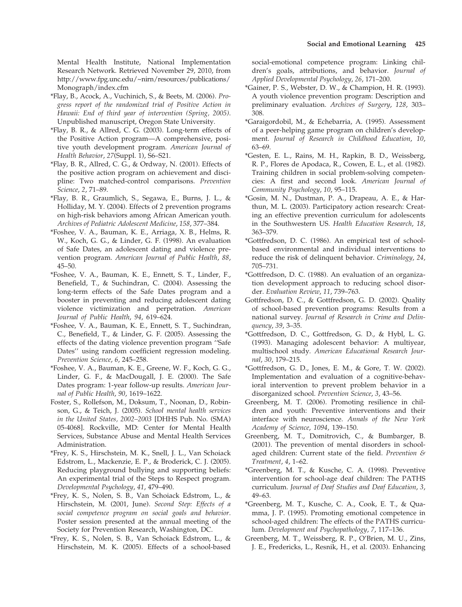Mental Health Institute, National Implementation Research Network. Retrieved November 29, 2010, from http://www.fpg.unc.edu/~nirn/resources/publications/ Monograph/index.cfm

- \*Flay, B., Acock, A., Vuchinich, S., & Beets, M. (2006). Progress report of the randomized trial of Positive Action in Hawaii: End of third year of intervention (Spring, 2005). Unpublished manuscript, Oregon State University.
- \*Flay, B. R., & Allred, C. G. (2003). Long-term effects of the Positive Action program—A comprehensive, positive youth development program. American Journal of Health Behavior, 27(Suppl. 1), S6–S21.
- \*Flay, B. R., Allred, C. G., & Ordway, N. (2001). Effects of the positive action program on achievement and discipline: Two matched-control comparisons. Prevention Science, 2, 71–89.
- \*Flay, B. R., Graumlich, S., Segawa, E., Burns, J. L., & Holliday, M. Y. (2004). Effects of 2 prevention programs on high-risk behaviors among African American youth. Archives of Pediatric Adolescent Medicine, 158, 377–384.
- \*Foshee, V. A., Bauman, K. E., Arriaga, X. B., Helms, R. W., Koch, G. G., & Linder, G. F. (1998). An evaluation of Safe Dates, an adolescent dating and violence prevention program. American Journal of Public Health, 88, 45–50.
- \*Foshee, V. A., Bauman, K. E., Ennett, S. T., Linder, F., Benefield, T., & Suchindran, C. (2004). Assessing the long-term effects of the Safe Dates program and a booster in preventing and reducing adolescent dating violence victimization and perpetration. American Journal of Public Health, 94, 619–624.
- \*Foshee, V. A., Bauman, K. E., Ennett, S. T., Suchindran, C., Benefield, T., & Linder, G. F. (2005). Assessing the effects of the dating violence prevention program ''Safe Dates'' using random coefficient regression modeling. Prevention Science, 6, 245–258.
- \*Foshee, V. A., Bauman, K. E., Greene, W. F., Koch, G. G., Linder, G. F., & MacDougall, J. E. (2000). The Safe Dates program: 1-year follow-up results. American Journal of Public Health, 90, 1619–1622.
- Foster, S., Rollefson, M., Doksum, T., Noonan, D., Robinson, G., & Teich, J. (2005). School mental health services in the United States, 2002–2003 [DHHS Pub. No. (SMA) 05-4068]. Rockville, MD: Center for Mental Health Services, Substance Abuse and Mental Health Services Administration.
- \*Frey, K. S., Hirschstein, M. K., Snell, J. L., Van Schoiack Edstrom, L., Mackenzie, E. P., & Broderick, C. J. (2005). Reducing playground bullying and supporting beliefs: An experimental trial of the Steps to Respect program. Developmental Psychology, 41, 479–490.
- \*Frey, K. S., Nolen, S. B., Van Schoiack Edstrom, L., & Hirschstein, M. (2001, June). Second Step: Effects of a social competence program on social goals and behavior. Poster session presented at the annual meeting of the Society for Prevention Research, Washington, DC.
- \*Frey, K. S., Nolen, S. B., Van Schoiack Edstrom, L., & Hirschstein, M. K. (2005). Effects of a school-based

social-emotional competence program: Linking children's goals, attributions, and behavior. Journal of Applied Developmental Psychology, 26, 171–200.

- \*Gainer, P. S., Webster, D. W., & Champion, H. R. (1993). A youth violence prevention program: Description and preliminary evaluation. Archives of Surgery, 128, 303– 308.
- \*Garaigordobil, M., & Echebarria, A. (1995). Assessment of a peer-helping game program on children's development. Journal of Research in Childhood Education, 10, 63–69.
- \*Gesten, E. L., Rains, M. H., Rapkin, B. D., Weissberg, R. P., Flores de Apodaca, R., Cowen, E. L., et al. (1982). Training children in social problem-solving competencies: A first and second look. American Journal of Community Psychology, 10, 95–115.
- \*Gosin, M. N., Dustman, P. A., Drapeau, A. E., & Harthun, M. L. (2003). Participatory action research: Creating an effective prevention curriculum for adolescents in the Southwestern US. Health Education Research, 18, 363–379.
- \*Gottfredson, D. C. (1986). An empirical test of schoolbased environmental and individual interventions to reduce the risk of delinquent behavior. Criminology, 24, 705–731.
- \*Gottfredson, D. C. (1988). An evaluation of an organization development approach to reducing school disorder. Evaluation Review, 11, 739–763.
- Gottfredson, D. C., & Gottfredson, G. D. (2002). Quality of school-based prevention programs: Results from a national survey. Journal of Research in Crime and Delinquency, 39, 3–35.
- \*Gottfredson, D. C., Gottfredson, G. D., & Hybl, L. G. (1993). Managing adolescent behavior: A multiyear, multischool study. American Educational Research Journal, 30, 179–215.
- \*Gottfredson, G. D., Jones, E. M., & Gore, T. W. (2002). Implementation and evaluation of a cognitive-behavioral intervention to prevent problem behavior in a disorganized school. Prevention Science, 3, 43–56.
- Greenberg, M. T. (2006). Promoting resilience in children and youth: Preventive interventions and their interface with neuroscience. Annals of the New York Academy of Science, 1094, 139–150.
- Greenberg, M. T., Domitrovich, C., & Bumbarger, B. (2001). The prevention of mental disorders in schoolaged children: Current state of the field. Prevention & Treatment, 4, 1–62.
- \*Greenberg, M. T., & Kusche, C. A. (1998). Preventive intervention for school-age deaf children: The PATHS curriculum. Journal of Deaf Studies and Deaf Education, 3, 49–63.
- \*Greenberg, M. T., Kusche, C. A., Cook, E. T., & Quamma, J. P. (1995). Promoting emotional competence in school-aged children: The effects of the PATHS curriculum. Development and Psychopathology, 7, 117–136.
- Greenberg, M. T., Weissberg, R. P., O'Brien, M. U., Zins, J. E., Fredericks, L., Resnik, H., et al. (2003). Enhancing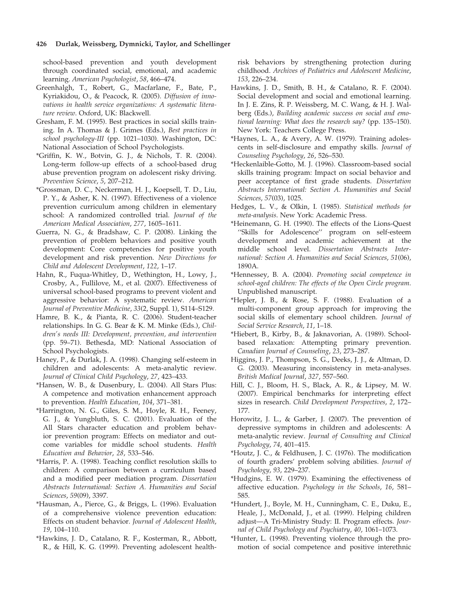school-based prevention and youth development through coordinated social, emotional, and academic learning. American Psychologist, 58, 466–474.

- Greenhalgh, T., Robert, G., Macfarlane, F., Bate, P., Kyriakidou, O., & Peacock, R. (2005). Diffusion of innovations in health service organizations: A systematic literature review. Oxford, UK: Blackwell.
- Gresham, F. M. (1995). Best practices in social skills training. In A. Thomas & J. Grimes (Eds.), Best practices in school psychology-III (pp. 1021–1030). Washington, DC: National Association of School Psychologists.
- \*Griffin, K. W., Botvin, G. J., & Nichols, T. R. (2004). Long-term follow-up effects of a school-based drug abuse prevention program on adolescent risky driving. Prevention Science, 5, 207–212.
- \*Grossman, D. C., Neckerman, H. J., Koepsell, T. D., Liu, P. Y., & Asher, K. N. (1997). Effectiveness of a violence prevention curriculum among children in elementary school: A randomized controlled trial. Journal of the American Medical Association, 277, 1605–1611.
- Guerra, N. G., & Bradshaw, C. P. (2008). Linking the prevention of problem behaviors and positive youth development: Core competencies for positive youth development and risk prevention. New Directions for Child and Adolescent Development, 122, 1–17.
- Hahn, R., Fuqua-Whitley, D., Wethington, H., Lowy, J., Crosby, A., Fullilove, M., et al. (2007). Effectiveness of universal school-based programs to prevent violent and aggressive behavior: A systematic review. American Journal of Preventive Medicine, 33(2, Suppl. 1), S114–S129.
- Hamre, B. K., & Pianta, R. C. (2006). Student-teacher relationships. In G. G. Bear & K. M. Minke (Eds.), Children's needs III: Development, prevention, and intervention (pp. 59–71). Bethesda, MD: National Association of School Psychologists.
- Haney, P., & Durlak, J. A. (1998). Changing self-esteem in children and adolescents: A meta-analytic review. Journal of Clinical Child Psychology, 27, 423–433.
- \*Hansen, W. B., & Dusenbury, L. (2004). All Stars Plus: A competence and motivation enhancement approach to prevention. Health Education, 104, 371–381.
- \*Harrington, N. G., Giles, S. M., Hoyle, R. H., Feeney, G. J., & Yungbluth, S. C. (2001). Evaluation of the All Stars character education and problem behavior prevention program: Effects on mediator and outcome variables for middle school students. Health Education and Behavior, 28, 533–546.
- \*Harris, P. A. (1998). Teaching conflict resolution skills to children: A comparison between a curriculum based and a modified peer mediation program. Dissertation Abstracts International: Section A. Humanities and Social Sciences, 59(09), 3397.
- \*Hausman, A., Pierce, G., & Briggs, L. (1996). Evaluation of a comprehensive violence prevention education: Effects on student behavior. Journal of Adolescent Health, 19, 104–110.
- \*Hawkins, J. D., Catalano, R. F., Kosterman, R., Abbott, R., & Hill, K. G. (1999). Preventing adolescent health-

risk behaviors by strengthening protection during childhood. Archives of Pediatrics and Adolescent Medicine, 153, 226–234.

- Hawkins, J. D., Smith, B. H., & Catalano, R. F. (2004). Social development and social and emotional learning. In J. E. Zins, R. P. Weissberg, M. C. Wang, & H. J. Walberg (Eds.), Building academic success on social and emotional learning: What does the research say? (pp. 135–150). New York: Teachers College Press.
- \*Haynes, L. A., & Avery, A. W. (1979). Training adolescents in self-disclosure and empathy skills. Journal of Counseling Psychology, 26, 526–530.
- \*Heckenlaible-Gotto, M. J. (1996). Classroom-based social skills training program: Impact on social behavior and peer acceptance of first grade students. Dissertation Abstracts International: Section A. Humanities and Social Sciences, 57(03), 1025.
- Hedges, L. V., & Olkin, I. (1985). Statistical methods for meta-analysis. New York: Academic Press.
- \*Heinemann, G. H. (1990). The effects of the Lions-Quest ''Skills for Adolescence'' program on self-esteem development and academic achievement at the middle school level. Dissertation Abstracts International: Section A. Humanities and Social Sciences, 51(06), 1890A.
- \*Hennessey, B. A. (2004). Promoting social competence in school-aged children: The effects of the Open Circle program. Unpublished manuscript.
- \*Hepler, J. B., & Rose, S. F. (1988). Evaluation of a multi-component group approach for improving the social skills of elementary school children. Journal of Social Service Research, 11, 1–18.
- \*Hiebert, B., Kirby, B., & Jaknavorian, A. (1989). Schoolbased relaxation: Attempting primary prevention. Canadian Journal of Counseling, 23, 273–287.
- Higgins, J. P., Thompson, S. G., Deeks, J. J., & Altman, D. G. (2003). Measuring inconsistency in meta-analyses. British Medical Journal, 327, 557–560.
- Hill, C. J., Bloom, H. S., Black, A. R., & Lipsey, M. W. (2007). Empirical benchmarks for interpreting effect sizes in research. Child Development Perspectives, 2, 172– 177.
- Horowitz, J. L., & Garber, J. (2007). The prevention of depressive symptoms in children and adolescents: A meta-analytic review. Journal of Consulting and Clinical Psychology, 74, 401–415.
- \*Houtz, J. C., & Feldhusen, J. C. (1976). The modification of fourth graders' problem solving abilities. Journal of Psychology, 93, 229–237.
- \*Hudgins, E. W. (1979). Examining the effectiveness of affective education. Psychology in the Schools, 16, 581– 585.
- \*Hundert, J., Boyle, M. H., Cunningham, C. E., Duku, E., Heale, J., McDonald, J., et al. (1999). Helping children adjust—A Tri-Ministry Study: II. Program effects. Journal of Child Psychology and Psychiatry, 40, 1061–1073.
- \*Hunter, L. (1998). Preventing violence through the promotion of social competence and positive interethnic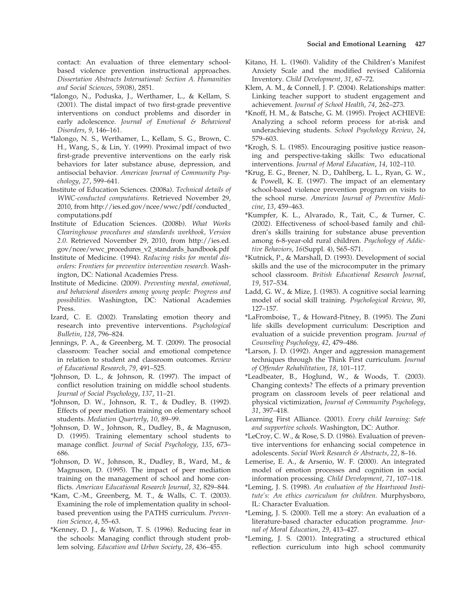contact: An evaluation of three elementary schoolbased violence prevention instructional approaches. Dissertation Abstracts International: Section A. Humanities and Social Sciences, 59(08), 2851.

- \*Ialongo, N., Poduska, J., Werthamer, L., & Kellam, S. (2001). The distal impact of two first-grade preventive interventions on conduct problems and disorder in early adolescence. Journal of Emotional & Behavioral Disorders, 9, 146–161.
- \*Ialongo, N. S., Werthamer, L., Kellam, S. G., Brown, C. H., Wang, S., & Lin, Y. (1999). Proximal impact of two first-grade preventive interventions on the early risk behaviors for later substance abuse, depression, and antisocial behavior. American Journal of Community Psychology, 27, 599–641.
- Institute of Education Sciences. (2008a). Technical details of WWC-conducted computations. Retrieved November 29, 2010, from http://ies.ed.gov/ncee/wwc/pdf/conducted\_ computations.pdf
- Institute of Education Sciences. (2008b). What Works Clearinghouse procedures and standards workbook, Version 2.0. Retrieved November 29, 2010, from http://ies.ed. gov/ncee/wwc\_procedures\_v2\_standards\_handbook.pdf
- Institute of Medicine. (1994). Reducing risks for mental disorders: Frontiers for preventive intervention research. Washington, DC: National Academies Press.
- Institute of Medicine. (2009). Preventing mental, emotional, and behavioral disorders among young people: Progress and possibilities. Washington, DC: National Academies Press.
- Izard, C. E. (2002). Translating emotion theory and research into preventive interventions. Psychological Bulletin, 128, 796–824.
- Jennings, P. A., & Greenberg, M. T. (2009). The prosocial classroom: Teacher social and emotional competence in relation to student and classroom outcomes. Review of Educational Research, 79, 491–525.
- \*Johnson, D. L., & Johnson, R. (1997). The impact of conflict resolution training on middle school students. Journal of Social Psychology, 137, 11–21.
- \*Johnson, D. W., Johnson, R. T., & Dudley, B. (1992). Effects of peer mediation training on elementary school students. Mediation Quarterly, 10, 89–99.
- \*Johnson, D. W., Johnson, R., Dudley, B., & Magnuson, D. (1995). Training elementary school students to manage conflict. Journal of Social Psychology, 135, 673– 686.
- \*Johnson, D. W., Johnson, R., Dudley, B., Ward, M., & Magnuson, D. (1995). The impact of peer mediation training on the management of school and home conflicts. American Educational Research Journal, 32, 829–844.
- \*Kam, C.-M., Greenberg, M. T., & Walls, C. T. (2003). Examining the role of implementation quality in schoolbased prevention using the PATHS curriculum. Prevention Science, 4, 55–63.
- \*Kenney, D. J., & Watson, T. S. (1996). Reducing fear in the schools: Managing conflict through student problem solving. Education and Urban Society, 28, 436–455.
- Kitano, H. L. (1960). Validity of the Children's Manifest Anxiety Scale and the modified revised California Inventory. Child Development, 31, 67–72.
- Klem, A. M., & Connell, J. P. (2004). Relationships matter: Linking teacher support to student engagement and achievement. Journal of School Health, 74, 262–273.
- \*Knoff, H. M., & Batsche, G. M. (1995). Project ACHIEVE: Analyzing a school reform process for at-risk and underachieving students. School Psychology Review, 24, 579–603.
- \*Krogh, S. L. (1985). Encouraging positive justice reasoning and perspective-taking skills: Two educational interventions. Journal of Moral Education, 14, 102–110.
- \*Krug, E. G., Brener, N. D., Dahlberg, L. L., Ryan, G. W., & Powell, K. E. (1997). The impact of an elementary school-based violence prevention program on visits to the school nurse. American Journal of Preventive Medicine, 13, 459–463.
- \*Kumpfer, K. L., Alvarado, R., Tait, C., & Turner, C. (2002). Effectiveness of school-based family and children's skills training for substance abuse prevention among 6-8-year-old rural children. Psychology of Addictive Behaviors, 16(Suppl. 4), S65–S71.
- \*Kutnick, P., & Marshall, D. (1993). Development of social skills and the use of the microcomputer in the primary school classroom. British Educational Research Journal, 19, 517–534.
- Ladd, G. W., & Mize, J. (1983). A cognitive social learning model of social skill training. Psychological Review, 90, 127–157.
- \*LaFromboise, T., & Howard-Pitney, B. (1995). The Zuni life skills development curriculum: Description and evaluation of a suicide prevention program. Journal of Counseling Psychology, 42, 479–486.
- \*Larson, J. D. (1992). Anger and aggression management techniques through the Think First curriculum. Journal of Offender Rehabilitation, 18, 101–117.
- \*Leadbeater, B., Hoglund, W., & Woods, T. (2003). Changing contexts? The effects of a primary prevention program on classroom levels of peer relational and physical victimization, Journal of Community Psychology, 31, 397–418.
- Learning First Alliance. (2001). Every child learning: Safe and supportive schools. Washington, DC: Author.
- \*LeCroy, C. W., & Rose, S. D. (1986). Evaluation of preventive interventions for enhancing social competence in adolescents. Social Work Research & Abstracts, 22, 8–16.
- Lemerise, E. A., & Arsenio, W. F. (2000). An integrated model of emotion processes and cognition in social information processing. Child Development, 71, 107–118.
- \*Leming, J. S. (1998). An evaluation of the Heartwood Institute's: An ethics curriculum for children. Murphysboro, IL: Character Evaluation.
- \*Leming, J. S. (2000). Tell me a story: An evaluation of a literature-based character education programme. Journal of Moral Education, 29, 413–427.
- \*Leming, J. S. (2001). Integrating a structured ethical reflection curriculum into high school community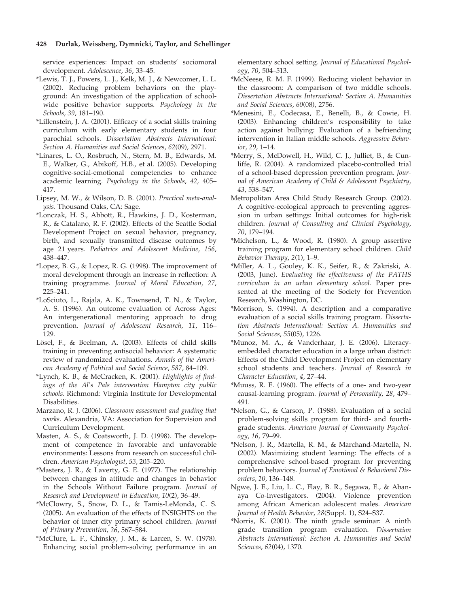service experiences: Impact on students' sociomoral development. Adolescence, 36, 33–45.

- \*Lewis, T. J., Powers, L. J., Kelk, M. J., & Newcomer, L. L. (2002). Reducing problem behaviors on the playground: An investigation of the application of schoolwide positive behavior supports. Psychology in the Schools, 39, 181–190.
- \*Lillenstein, J. A. (2001). Efficacy of a social skills training curriculum with early elementary students in four parochial schools. Dissertation Abstracts International: Section A. Humanities and Social Sciences, 62(09), 2971.
- \*Linares, L. O., Rosbruch, N., Stern, M. B., Edwards, M. E., Walker, G., Abikoff, H.B., et al. (2005). Developing cognitive-social-emotional competencies to enhance academic learning. Psychology in the Schools, 42, 405– 417.
- Lipsey, M. W., & Wilson, D. B. (2001). Practical meta-analysis. Thousand Oaks, CA: Sage.
- \*Lonczak, H. S., Abbott, R., Hawkins, J. D., Kosterman, R., & Catalano, R. F. (2002). Effects of the Seattle Social Development Project on sexual behavior, pregnancy, birth, and sexually transmitted disease outcomes by age 21 years. Pediatrics and Adolescent Medicine, 156, 438–447.
- \*Lopez, B. G., & Lopez, R. G. (1998). The improvement of moral development through an increase in reflection: A training programme. Journal of Moral Education, 27, 225–241.
- \*LoSciuto, L., Rajala, A. K., Townsend, T. N., & Taylor, A. S. (1996). An outcome evaluation of Across Ages: An intergenerational mentoring approach to drug prevention. Journal of Adolescent Research, 11, 116– 129.
- Lösel, F., & Beelman, A. (2003). Effects of child skills training in preventing antisocial behavior: A systematic review of randomized evaluations. Annals of the American Academy of Political and Social Science, 587, 84–109.
- \*Lynch, K. B., & McCracken, K. (2001). Highlights of findings of the Al's Pals intervention Hampton city public schools. Richmond: Virginia Institute for Developmental Disabilities.
- Marzano, R. J. (2006). Classroom assessment and grading that works. Alexandria, VA: Association for Supervision and Curriculum Development.
- Masten, A. S., & Coatsworth, J. D. (1998). The development of competence in favorable and unfavorable environments: Lessons from research on successful children. American Psychologist, 53, 205–220.
- \*Masters, J. R., & Laverty, G. E. (1977). The relationship between changes in attitude and changes in behavior in the Schools Without Failure program. Journal of Research and Development in Education, 10(2), 36–49.
- \*McClowry, S., Snow, D. L., & Tamis-LeMonda, C. S. (2005). An evaluation of the effects of INSIGHTS on the behavior of inner city primary school children. Journal of Primary Prevention, 26, 567–584.
- \*McClure, L. F., Chinsky, J. M., & Larcen, S. W. (1978). Enhancing social problem-solving performance in an

elementary school setting. Journal of Educational Psychology, 70, 504–513.

- \*McNeese, R. M. F. (1999). Reducing violent behavior in the classroom: A comparison of two middle schools. Dissertation Abstracts International: Section A. Humanities and Social Sciences, 60(08), 2756.
- \*Menesini, E., Codecasa, E., Benelli, B., & Cowie, H. (2003). Enhancing children's responsibility to take action against bullying: Evaluation of a befriending intervention in Italian middle schools. Aggressive Behavior, 29, 1–14.
- \*Merry, S., McDowell, H., Wild, C. J., Julliet, B., & Cunliffe, R. (2004). A randomized placebo-controlled trial of a school-based depression prevention program. Journal of American Academy of Child & Adolescent Psychiatry, 43, 538–547.
- Metropolitan Area Child Study Research Group. (2002). A cognitive-ecological approach to preventing aggression in urban settings: Initial outcomes for high-risk children. Journal of Consulting and Clinical Psychology, 70, 179–194.
- \*Michelson, L., & Wood, R. (1980). A group assertive training program for elementary school children. Child Behavior Therapy, 2(1), 1–9.
- \*Miller, A. L., Gouley, K. K., Seifer, R., & Zakriski, A. (2003, June). Evaluating the effectiveness of the PATHS curriculum in an urban elementary school. Paper presented at the meeting of the Society for Prevention Research, Washington, DC.
- \*Morrison, S. (1994). A description and a comparative evaluation of a social skills training program. Dissertation Abstracts International: Section A. Humanities and Social Sciences, 55(05), 1226.
- \*Munoz, M. A., & Vanderhaar, J. E. (2006). Literacyembedded character education in a large urban district: Effects of the Child Development Project on elementary school students and teachers. Journal of Research in Character Education, 4, 27–44.
- \*Muuss, R. E. (1960). The effects of a one- and two-year causal-learning program. Journal of Personality, 28, 479– 491.
- \*Nelson, G., & Carson, P. (1988). Evaluation of a social problem-solving skills program for third- and fourthgrade students. American Journal of Community Psychology, 16, 79–99.
- \*Nelson, J. R., Martella, R. M., & Marchand-Martella, N. (2002). Maximizing student learning: The effects of a comprehensive school-based program for preventing problem behaviors. Journal of Emotional & Behavioral Disorders, 10, 136–148.
- Ngwe, J. E., Liu, L. C., Flay, B. R., Segawa, E., & Abanaya Co-Investigators. (2004). Violence prevention among African American adolescent males. American Journal of Health Behavior, 28(Suppl. 1), S24–S37.
- \*Norris, K. (2001). The ninth grade seminar: A ninth grade transition program evaluation. Dissertation Abstracts International: Section A. Humanities and Social Sciences, 62(04), 1370.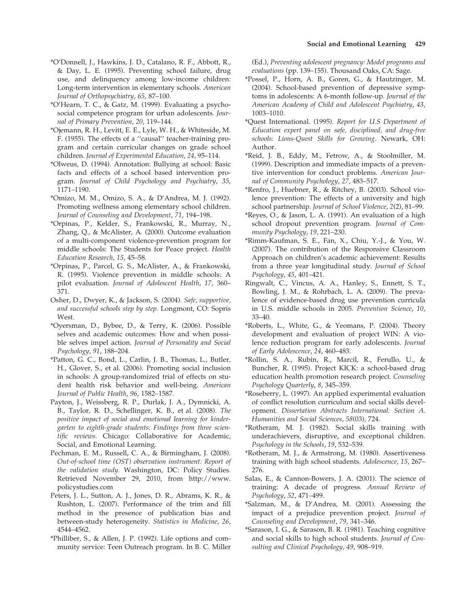- \*O'Donnell, J., Hawkins, J. D., Catalano, R. F., Abbott, R., & Day, L. E. (1995). Preventing school failure, drug use, and delinquency among low-income children: Long-term intervention in elementary schools. American Journal of Orthopsychiatry, 65, 87–100.
- \*O'Hearn, T. C., & Gatz, M. (1999). Evaluating a psychosocial competence program for urban adolescents. Journal of Primary Prevention, 20, 119–144.
- \*Ojemann, R. H., Levitt, E. E., Lyle, W. H., & Whiteside, M. F. (1955). The effects of a ''causal'' teacher-training program and certain curricular changes on grade school children. Journal of Experimental Education, 24, 95–114.
- \*Olweus, D. (1994). Annotation: Bullying at school: Basic facts and effects of a school based intervention program. Journal of Child Psychology and Psychiatry, 35, 1171–1190.
- \*Omizo, M. M., Omizo, S. A., & D'Andrea, M. J. (1992). Promoting wellness among elementary school children. Journal of Counseling and Development, 71, 194–198.
- \*Orpinas, P., Kelder, S., Frankowski, R., Murray, N., Zhang, Q., & McAlister, A. (2000). Outcome evaluation of a multi-component violence-prevention program for middle schools: The Students for Peace project. Health Education Research, 15, 45–58.
- \*Orpinas, P., Parcel, G. S., McAlister, A., & Frankowski, R. (1995). Violence prevention in middle schools: A pilot evaluation. Journal of Adolescent Health, 17, 360– 371.
- Osher, D., Dwyer, K., & Jackson, S. (2004). Safe, supportive, and successful schools step by step. Longmont, CO: Sopris West.
- \*Oyersman, D., Bybee, D., & Terry, K. (2006). Possible selves and academic outcomes: How and when possible selves impel action. Journal of Personality and Social Psychology, 91, 188–204.
- \*Patton, G. C., Bond, L., Carlin, J. B., Thomas, L., Butler, H., Glover, S., et al. (2006). Promoting social inclusion in schools: A group-randomized trial of effects on student health risk behavior and well-being. American Journal of Public Health, 96, 1582–1587.
- Payton, J., Weissberg, R. P., Durlak, J. A., Dymnicki, A. B., Taylor, R. D., Schellinger, K. B., et al. (2008). The positive impact of social and emotional learning for kindergarten to eighth-grade students: Findings from three scientific reviews. Chicago: Collaborative for Academic, Social, and Emotional Learning.
- Pechman, E. M., Russell, C. A., & Birmingham, J. (2008). Out-of-school time (OST) observation instrument: Report of the validation study. Washington, DC: Policy Studies. Retrieved November 29, 2010, from http://www. policystudies.com
- Peters, J. L., Sutton, A. J., Jones, D. R., Abrams, K. R., & Rushton, L. (2007). Performance of the trim and fill method in the presence of publication bias and between-study heterogeneity. Statistics in Medicine, 26, 4544–4562.
- \*Philliber, S., & Allen, J. P. (1992). Life options and community service: Teen Outreach program. In B. C. Miller

(Ed.), Preventing adolescent pregnancy: Model programs and evaluations (pp. 139–155). Thousand Oaks, CA: Sage.

- \*Possel, P., Horn, A. B., Goren, G., & Hautzinger, M. (2004). School-based prevention of depressive symptoms in adolescents: A 6-month follow-up. Journal of the American Academy of Child and Adolescent Psychiatry, 43, 1003–1010.
- \*Quest International. (1995). Report for U.S Department of Education expert panel on safe, disciplined, and drug-free schools: Lions-Quest Skills for Growing. Newark, OH: Author.
- \*Reid, J. B., Eddy, M., Fetrow, A., & Stoolmiller, M. (1999). Description and immediate impacts of a preventive intervention for conduct problems. American Journal of Community Psychology, 27, 483–517.
- \*Renfro, J., Huebner, R., & Ritchey, B. (2003). School violence prevention: The effects of a university and high school partnership. Journal of School Violence, 2(2), 81–99.
- \*Reyes, O., & Jason, L. A. (1991). An evaluation of a high school dropout prevention program. Journal of Community Psychology, 19, 221–230.
- \*Rimm-Kaufman, S. E., Fan, X., Chiu, Y.-J., & You, W. (2007). The contribution of the Responsive Classroom Approach on children's academic achievement: Results from a three year longitudinal study. Journal of School Psychology, 45, 401–421.
- Ringwalt, C., Vincus, A. A., Hanley, S., Ennett, S. T., Bowling, J. M., & Rohrbach, L. A. (2009). The prevalence of evidence-based drug use prevention curricula in U.S. middle schools in 2005. Prevention Science, 10, 33–40.
- \*Roberts, L., White, G., & Yeomans, P. (2004). Theory development and evaluation of project WIN: A violence reduction program for early adolescents. Journal of Early Adolescence, 24, 460–483.
- \*Rollin, S. A., Rubin, R., Marcil, R., Ferullo, U., & Buncher, R. (1995). Project KICK: a school-based drug education health promotion research project. Counseling Psychology Quarterly, 8, 345–359.
- \*Roseberry, L. (1997). An applied experimental evaluation of conflict resolution curriculum and social skills development. Dissertation Abstracts International: Section A. Humanities and Social Sciences, 58(03), 724.
- \*Rotheram, M. J. (1982). Social skills training with underachievers, disruptive, and exceptional children. Psychology in the Schools, 19, 532–539.
- \*Rotheram, M. J., & Armstrong, M. (1980). Assertiveness training with high school students. Adolescence, 15, 267– 276.
- Salas, E., & Cannon-Bowers, J. A. (2001). The science of training: A decade of progress. Annual Review of Psychology, 52, 471–499.
- \*Salzman, M., & D'Andrea, M. (2001). Assessing the impact of a prejudice prevention project. Journal of Counseling and Development, 79, 341–346.
- \*Sarason, I. G., & Sarason, B. R. (1981). Teaching cognitive and social skills to high school students. Journal of Consulting and Clinical Psychology, 49, 908–919.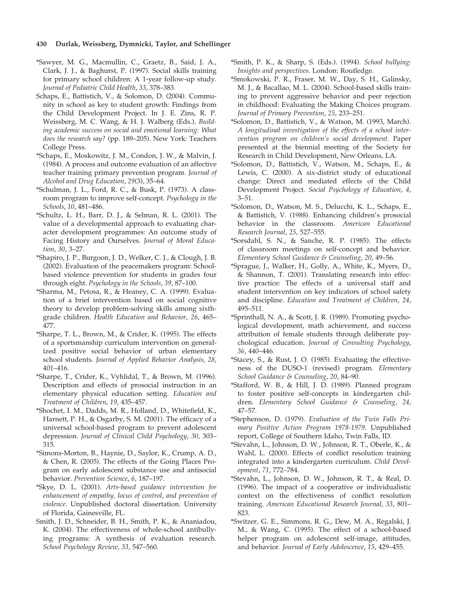- \*Sawyer, M. G., Macmullin, C., Graetz, B., Said, J. A., Clark, J. J., & Baghurst, P. (1997). Social skills training for primary school children: A 1-year follow-up study. Journal of Pediatric Child Health, 33, 378–383.
- Schaps, E., Battistich, V., & Solomon, D. (2004). Community in school as key to student growth: Findings from the Child Development Project. In J. E. Zins, R. P. Weissberg, M. C. Wang, & H. J. Walberg (Eds.), Building academic success on social and emotional learning: What does the research say? (pp. 189–205). New York: Teachers College Press.
- \*Schaps, E., Moskowitz, J. M., Condon, J. W., & Malvin, J. (1984). A process and outcome evaluation of an affective teacher training primary prevention program. Journal of Alcohol and Drug Education, 29(3), 35–64.
- \*Schulman, J. L., Ford, R. C., & Busk, P. (1973). A classroom program to improve self-concept. Psychology in the Schools, 10, 481–486.
- \*Schultz, L. H., Barr, D. J., & Selman, R. L. (2001). The value of a developmental approach to evaluating character development programmes: An outcome study of Facing History and Ourselves. Journal of Moral Education, 30, 3–27.
- \*Shapiro, J. P., Burgoon, J. D., Welker, C. J., & Clough, J. B. (2002). Evaluation of the peacemakers program: Schoolbased violence prevention for students in grades four through eight. Psychology in the Schools, 39, 87–100.
- \*Sharma, M., Petosa, R., & Heaney, C. A. (1999). Evaluation of a brief intervention based on social cognitive theory to develop problem-solving skills among sixthgrade children. Health Education and Behavior, 26, 465– 477.
- \*Sharpe, T. L., Brown, M., & Crider, K. (1995). The effects of a sportsmanship curriculum intervention on generalized positive social behavior of urban elementary school students. Journal of Applied Behavior Analysis, 28, 401–416.
- \*Sharpe, T., Crider, K., Vyhlidal, T., & Brown, M. (1996). Description and effects of prosocial instruction in an elementary physical education setting. Education and Treatment of Children, 19, 435–457.
- \*Shochet, I. M., Dadds, M. R., Holland, D., Whitefield, K., Harnett, P. H., & Osgarby, S. M. (2001). The efficacy of a universal school-based program to prevent adolescent depression. Journal of Clinical Child Psychology, 30, 303– 315.
- \*Simons-Morton, B., Haynie, D., Saylor, K., Crump, A. D., & Chen, R. (2005). The effects of the Going Places Program on early adolescent substance use and antisocial behavior. Prevention Science, 6, 187–197.
- \*Skye, D. L. (2001). Arts-based guidance intervention for enhancement of empathy, locus of control, and prevention of violence. Unpublished doctoral dissertation. University of Florida, Gainesville, FL.
- Smith, J. D., Schneider, B. H., Smith, P. K., & Ananiadou, K. (2004). The effectiveness of whole-school antibullying programs: A synthesis of evaluation research. School Psychology Review, 33, 547–560.
- \*Smith, P. K., & Sharp, S. (Eds.). (1994). School bullying: Insights and perspectives. London: Routledge.
- \*Smokowski, P. R., Fraser, M. W., Day, S. H., Galinsky, M. J., & Bacallao, M. L. (2004). School-based skills training to prevent aggressive behavior and peer rejection in childhood: Evaluating the Making Choices program. Journal of Primary Prevention, 25, 233–251.
- \*Solomon, D., Battistich, V., & Watson, M. (1993, March). A longitudinal investigation of the effects of a school intervention program on children's social development. Paper presented at the biennial meeting of the Society for Research in Child Development, New Orleans, LA.
- \*Solomon, D., Battistich, V., Watson, M., Schaps, E., & Lewis, C. (2000). A six-district study of educational change: Direct and mediated effects of the Child Development Project. Social Psychology of Education, 4, 3–51.
- \*Solomon, D., Watson, M. S., Delucchi, K. L., Schaps, E., & Battistich, V. (1988). Enhancing children's prosocial behavior in the classroom. American Educational Research Journal, 25, 527–555.
- \*Sorsdahl, S. N., & Sanche, R. P. (1985). The effects of classroom meetings on self-concept and behavior. Elementary School Guidance & Counseling, 20, 49–56.
- \*Sprague, J., Walker, H., Golly, A., White, K., Myers, D., & Shannon, T. (2001). Translating research into effective practice: The effects of a universal staff and student intervention on key indicators of school safety and discipline. Education and Treatment of Children, 24, 495–511.
- \*Sprinthall, N. A., & Scott, J. R. (1989). Promoting psychological development, math achievement, and success attribution of female students through deliberate psychological education. Journal of Consulting Psychology, 36, 440–446.
- \*Stacey, S., & Rust, J. O. (1985). Evaluating the effectiveness of the DUSO-1 (revised) program. Elementary School Guidance & Counseling, 20, 84-90.
- \*Stafford, W. B., & Hill, J. D. (1989). Planned program to foster positive self-concepts in kindergarten children. Elementary School Guidance & Counseling, 24, 47–57.
- \*Stephenson, D. (1979). Evaluation of the Twin Falls Primary Positive Action Program 1978-1979. Unpublished report, College of Southern Idaho, Twin Falls, ID.
- \*Stevahn, L., Johnson, D. W., Johnson, R. T., Oberle, K., & Wahl, L. (2000). Effects of conflict resolution training integrated into a kindergarten curriculum. Child Development, 71, 772–784.
- \*Stevahn, L., Johnson, D. W., Johnson, R. T., & Real, D. (1996). The impact of a cooperative or individualistic context on the effectiveness of conflict resolution training. American Educational Research Journal, 33, 801– 823.
- \*Switzer, G. E., Simmons, R. G., Dew, M. A., Regalski, J. M., & Wang, C. (1995). The effect of a school-based helper program on adolescent self-image, attitudes, and behavior. Journal of Early Adolescence, 15, 429–455.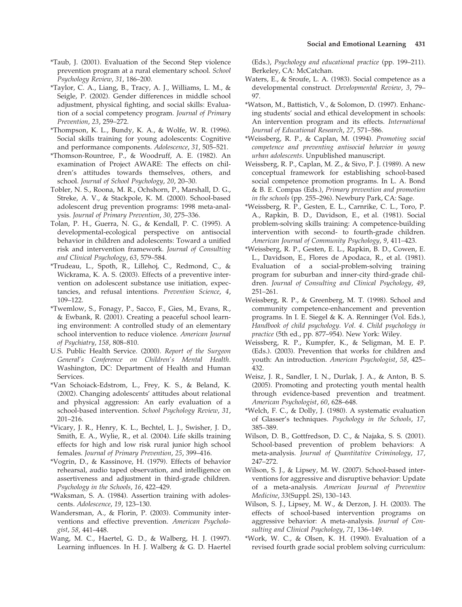- \*Taub, J. (2001). Evaluation of the Second Step violence prevention program at a rural elementary school. School Psychology Review, 31, 186–200.
- \*Taylor, C. A., Liang, B., Tracy, A. J., Williams, L. M., & Seigle, P. (2002). Gender differences in middle school adjustment, physical fighting, and social skills: Evaluation of a social competency program. Journal of Primary Prevention, 23, 259–272.
- \*Thompson, K. L., Bundy, K. A., & Wolfe, W. R. (1996). Social skills training for young adolescents: Cognitive and performance components. Adolescence, 31, 505–521.
- \*Thomson-Rountree, P., & Woodruff, A. E. (1982). An examination of Project AWARE: The effects on children's attitudes towards themselves, others, and school. Journal of School Psychology, 20, 20–30.
- Tobler, N. S., Roona, M. R., Ochshorn, P., Marshall, D. G., Streke, A. V., & Stackpole, K. M. (2000). School-based adolescent drug prevention programs: 1998 meta-analysis. Journal of Primary Prevention, 30, 275–336.
- Tolan, P. H., Guerra, N. G., & Kendall, P. C. (1995). A developmental-ecological perspective on antisocial behavior in children and adolescents: Toward a unified risk and intervention framework. Journal of Consulting and Clinical Psychology, 63, 579–584.
- \*Trudeau, L., Spoth, R., Lillehoj, C., Redmond, C., & Wickrama, K. A. S. (2003). Effects of a preventive intervention on adolescent substance use initiation, expectancies, and refusal intentions. Prevention Science, 4, 109–122.
- \*Twemlow, S., Fonagy, P., Sacco, F., Gies, M., Evans, R., & Ewbank, R. (2001). Creating a peaceful school learning environment: A controlled study of an elementary school intervention to reduce violence. American Journal of Psychiatry, 158, 808–810.
- U.S. Public Health Service. (2000). Report of the Surgeon General's Conference on Children's Mental Health. Washington, DC: Department of Health and Human Services.
- \*Van Schoiack-Edstrom, L., Frey, K. S., & Beland, K. (2002). Changing adolescents' attitudes about relational and physical aggression: An early evaluation of a school-based intervention. School Psychology Review, 31, 201–216.
- \*Vicary, J. R., Henry, K. L., Bechtel, L. J., Swisher, J. D., Smith, E. A., Wylie, R., et al. (2004). Life skills training effects for high and low risk rural junior high school females. Journal of Primary Prevention, 25, 399–416.
- \*Vogrin, D., & Kassinove, H. (1979). Effects of behavior rehearsal, audio taped observation, and intelligence on assertiveness and adjustment in third-grade children. Psychology in the Schools, 16, 422–429.
- \*Waksman, S. A. (1984). Assertion training with adolescents. Adolescence, 19, 123–130.
- Wandersman, A., & Florin, P. (2003). Community interventions and effective prevention. American Psychologist, 58, 441–448.
- Wang, M. C., Haertel, G. D., & Walberg, H. J. (1997). Learning influences. In H. J. Walberg & G. D. Haertel

(Eds.), Psychology and educational practice (pp. 199–211). Berkeley, CA: McCatchan.

- Waters, E., & Sroufe, L. A. (1983). Social competence as a developmental construct. Developmental Review, 3, 79– 97.
- \*Watson, M., Battistich, V., & Solomon, D. (1997). Enhancing students' social and ethical development in schools: An intervention program and its effects. International Journal of Educational Research, 27, 571–586.
- \*Weissberg, R. P., & Caplan, M. (1994). Promoting social competence and preventing antisocial behavior in young urban adolescents. Unpublished manuscript.
- Weissberg, R. P., Caplan, M. Z., & Sivo, P. J. (1989). A new conceptual framework for establishing school-based social competence promotion programs. In L. A. Bond & B. E. Compas (Eds.), Primary prevention and promotion in the schools (pp. 255–296). Newbury Park, CA: Sage.
- \*Weissberg, R. P., Gesten, E. L., Carnrike, C. L., Toro, P. A., Rapkin, B. D., Davidson, E., et al. (1981). Social problem-solving skills training: A competence-building intervention with second- to fourth-grade children. American Journal of Community Psychology, 9, 411–423.
- \*Weissberg, R. P., Gesten, E. L., Rapkin, B. D., Cowen, E. L., Davidson, E., Flores de Apodaca, R., et al. (1981). Evaluation of a social-problem-solving training program for suburban and inner-city third-grade children. Journal of Consulting and Clinical Psychology, 49, 251–261.
- Weissberg, R. P., & Greenberg, M. T. (1998). School and community competence-enhancement and prevention programs. In I. E. Siegel & K. A. Renninger (Vol. Eds.), Handbook of child psychology. Vol. 4. Child psychology in practice (5th ed., pp. 877–954). New York: Wiley.
- Weissberg, R. P., Kumpfer, K., & Seligman, M. E. P. (Eds.). (2003). Prevention that works for children and youth: An introduction. American Psychologist, 58, 425– 432.
- Weisz, J. R., Sandler, I. N., Durlak, J. A., & Anton, B. S. (2005). Promoting and protecting youth mental health through evidence-based prevention and treatment. American Psychologist, 60, 628–648.
- \*Welch, F. C., & Dolly, J. (1980). A systematic evaluation of Glasser's techniques. Psychology in the Schools, 17, 385–389.
- Wilson, D. B., Gottfredson, D. C., & Najaka, S. S. (2001). School-based prevention of problem behaviors: A meta-analysis. Journal of Quantitative Criminology, 17, 247–272.
- Wilson, S. J., & Lipsey, M. W. (2007). School-based interventions for aggressive and disruptive behavior: Update of a meta-analysis. American Journal of Preventive Medicine, 33(Suppl. 2S), 130–143.
- Wilson, S. J., Lipsey, M. W., & Derzon, J. H. (2003). The effects of school-based intervention programs on aggressive behavior: A meta-analysis. Journal of Consulting and Clinical Psychology, 71, 136–149.
- \*Work, W. C., & Olsen, K. H. (1990). Evaluation of a revised fourth grade social problem solving curriculum: